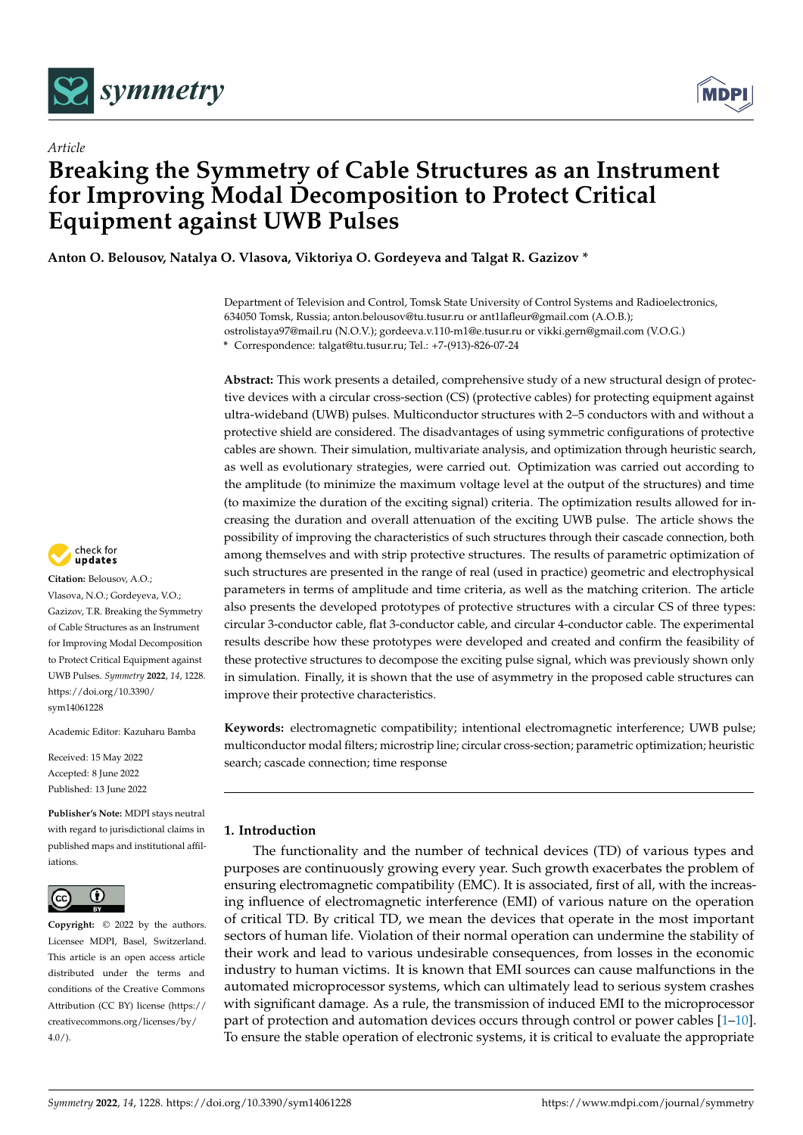

*Article*



# **Breaking the Symmetry of Cable Structures as an Instrument for Improving Modal Decomposition to Protect Critical Equipment against UWB Pulses**

**Anton O. Belousov, Natalya O. Vlasova, Viktoriya O. Gordeyeva and Talgat R. Gazizov \***

Department of Television and Control, Tomsk State University of Control Systems and Radioelectronics, 634050 Tomsk, Russia; anton.belousov@tu.tusur.ru or ant1lafleur@gmail.com (A.O.B.); ostrolistaya97@mail.ru (N.O.V.); gordeeva.v.110-m1@e.tusur.ru or vikki.gern@gmail.com (V.O.G.) **\*** Correspondence: talgat@tu.tusur.ru; Tel.: +7-(913)-826-07-24

**Abstract:** This work presents a detailed, comprehensive study of a new structural design of protective devices with a circular cross-section (CS) (protective cables) for protecting equipment against ultra-wideband (UWB) pulses. Multiconductor structures with 2–5 conductors with and without a protective shield are considered. The disadvantages of using symmetric configurations of protective cables are shown. Their simulation, multivariate analysis, and optimization through heuristic search, as well as evolutionary strategies, were carried out. Optimization was carried out according to the amplitude (to minimize the maximum voltage level at the output of the structures) and time (to maximize the duration of the exciting signal) criteria. The optimization results allowed for increasing the duration and overall attenuation of the exciting UWB pulse. The article shows the possibility of improving the characteristics of such structures through their cascade connection, both among themselves and with strip protective structures. The results of parametric optimization of such structures are presented in the range of real (used in practice) geometric and electrophysical parameters in terms of amplitude and time criteria, as well as the matching criterion. The article also presents the developed prototypes of protective structures with a circular CS of three types: circular 3-conductor cable, flat 3-conductor cable, and circular 4-conductor cable. The experimental results describe how these prototypes were developed and created and confirm the feasibility of these protective structures to decompose the exciting pulse signal, which was previously shown only in simulation. Finally, it is shown that the use of asymmetry in the proposed cable structures can improve their protective characteristics.

**Keywords:** electromagnetic compatibility; intentional electromagnetic interference; UWB pulse; multiconductor modal filters; microstrip line; circular cross-section; parametric optimization; heuristic search; cascade connection; time response

# **1. Introduction**

The functionality and the number of technical devices (TD) of various types and purposes are continuously growing every year. Such growth exacerbates the problem of ensuring electromagnetic compatibility (EMC). It is associated, first of all, with the increasing influence of electromagnetic interference (EMI) of various nature on the operation of critical TD. By critical TD, we mean the devices that operate in the most important sectors of human life. Violation of their normal operation can undermine the stability of their work and lead to various undesirable consequences, from losses in the economic industry to human victims. It is known that EMI sources can cause malfunctions in the automated microprocessor systems, which can ultimately lead to serious system crashes with significant damage. As a rule, the transmission of induced EMI to the microprocessor part of protection and automation devices occurs through control or power cables [\[1](#page-31-0)[–10\]](#page-31-1). To ensure the stable operation of electronic systems, it is critical to evaluate the appropriate



**Citation:** Belousov, A.O.; Vlasova, N.O.; Gordeyeva, V.O.; Gazizov, T.R. Breaking the Symmetry of Cable Structures as an Instrument for Improving Modal Decomposition to Protect Critical Equipment against UWB Pulses. *Symmetry* **2022**, *14*, 1228. [https://doi.org/10.3390/](https://doi.org/10.3390/sym14061228) [sym14061228](https://doi.org/10.3390/sym14061228)

Academic Editor: Kazuharu Bamba

Received: 15 May 2022 Accepted: 8 June 2022 Published: 13 June 2022

**Publisher's Note:** MDPI stays neutral with regard to jurisdictional claims in published maps and institutional affiliations.



**Copyright:** © 2022 by the authors. Licensee MDPI, Basel, Switzerland. This article is an open access article distributed under the terms and conditions of the Creative Commons Attribution (CC BY) license [\(https://](https://creativecommons.org/licenses/by/4.0/) [creativecommons.org/licenses/by/](https://creativecommons.org/licenses/by/4.0/)  $4.0/$ ).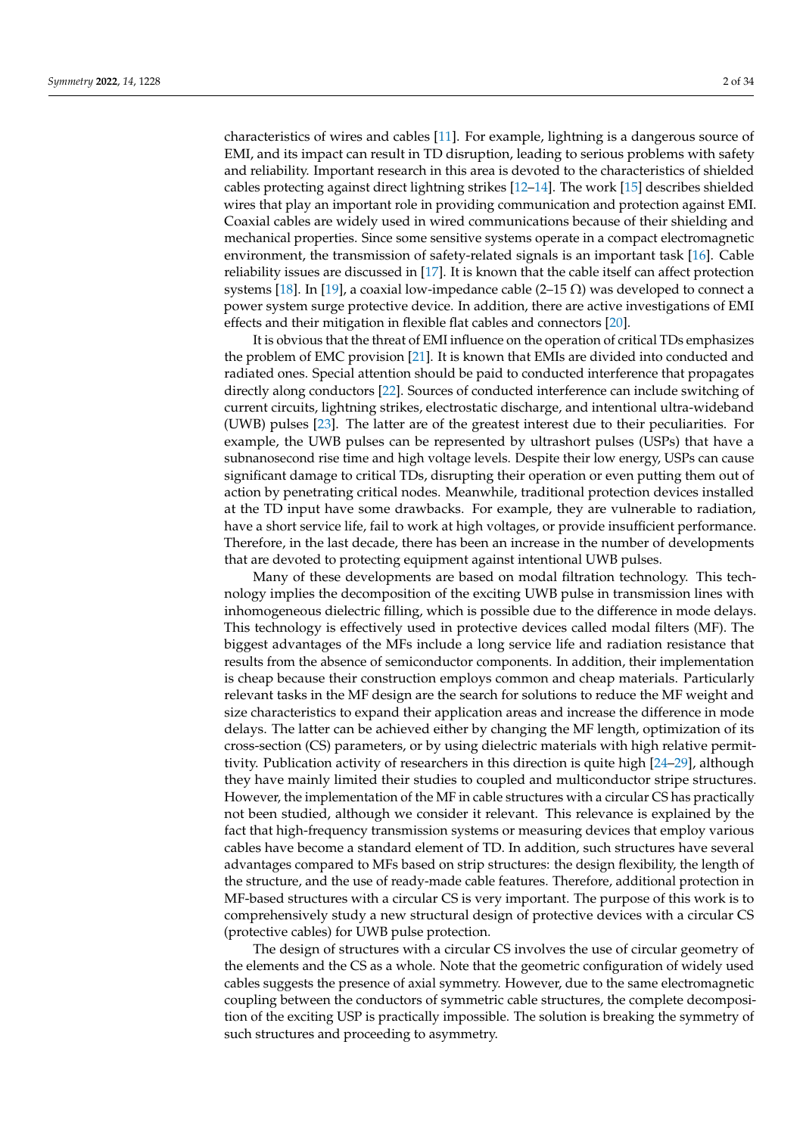characteristics of wires and cables [\[11\]](#page-31-2). For example, lightning is a dangerous source of EMI, and its impact can result in TD disruption, leading to serious problems with safety and reliability. Important research in this area is devoted to the characteristics of shielded cables protecting against direct lightning strikes [\[12](#page-31-3)[–14\]](#page-31-4). The work [\[15\]](#page-32-0) describes shielded wires that play an important role in providing communication and protection against EMI. Coaxial cables are widely used in wired communications because of their shielding and mechanical properties. Since some sensitive systems operate in a compact electromagnetic environment, the transmission of safety-related signals is an important task [\[16\]](#page-32-1). Cable reliability issues are discussed in [\[17\]](#page-32-2). It is known that the cable itself can affect protection systems [\[18\]](#page-32-3). In [\[19\]](#page-32-4), a coaxial low-impedance cable (2–15 Ω) was developed to connect a power system surge protective device. In addition, there are active investigations of EMI effects and their mitigation in flexible flat cables and connectors [\[20\]](#page-32-5).

It is obvious that the threat of EMI influence on the operation of critical TDs emphasizes the problem of EMC provision [\[21\]](#page-32-6). It is known that EMIs are divided into conducted and radiated ones. Special attention should be paid to conducted interference that propagates directly along conductors [\[22\]](#page-32-7). Sources of conducted interference can include switching of current circuits, lightning strikes, electrostatic discharge, and intentional ultra-wideband (UWB) pulses [\[23\]](#page-32-8). The latter are of the greatest interest due to their peculiarities. For example, the UWB pulses can be represented by ultrashort pulses (USPs) that have a subnanosecond rise time and high voltage levels. Despite their low energy, USPs can cause significant damage to critical TDs, disrupting their operation or even putting them out of action by penetrating critical nodes. Meanwhile, traditional protection devices installed at the TD input have some drawbacks. For example, they are vulnerable to radiation, have a short service life, fail to work at high voltages, or provide insufficient performance. Therefore, in the last decade, there has been an increase in the number of developments that are devoted to protecting equipment against intentional UWB pulses.

Many of these developments are based on modal filtration technology. This technology implies the decomposition of the exciting UWB pulse in transmission lines with inhomogeneous dielectric filling, which is possible due to the difference in mode delays. This technology is effectively used in protective devices called modal filters (MF). The biggest advantages of the MFs include a long service life and radiation resistance that results from the absence of semiconductor components. In addition, their implementation is cheap because their construction employs common and cheap materials. Particularly relevant tasks in the MF design are the search for solutions to reduce the MF weight and size characteristics to expand their application areas and increase the difference in mode delays. The latter can be achieved either by changing the MF length, optimization of its cross-section (CS) parameters, or by using dielectric materials with high relative permittivity. Publication activity of researchers in this direction is quite high [\[24](#page-32-9)[–29\]](#page-32-10), although they have mainly limited their studies to coupled and multiconductor stripe structures. However, the implementation of the MF in cable structures with a circular CS has practically not been studied, although we consider it relevant. This relevance is explained by the fact that high-frequency transmission systems or measuring devices that employ various cables have become a standard element of TD. In addition, such structures have several advantages compared to MFs based on strip structures: the design flexibility, the length of the structure, and the use of ready-made cable features. Therefore, additional protection in MF-based structures with a circular CS is very important. The purpose of this work is to comprehensively study a new structural design of protective devices with a circular CS (protective cables) for UWB pulse protection.

The design of structures with a circular CS involves the use of circular geometry of the elements and the CS as a whole. Note that the geometric configuration of widely used cables suggests the presence of axial symmetry. However, due to the same electromagnetic coupling between the conductors of symmetric cable structures, the complete decomposition of the exciting USP is practically impossible. The solution is breaking the symmetry of such structures and proceeding to asymmetry.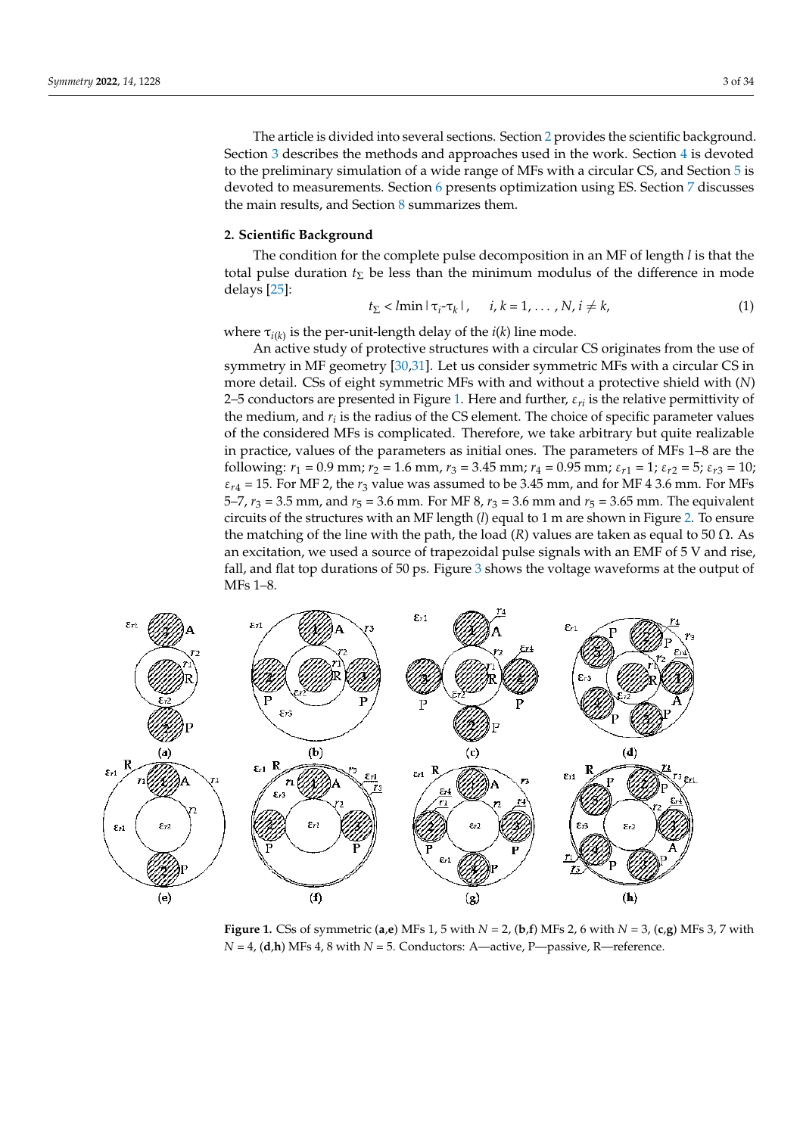The article is divided into several sections. Section [2](#page-2-0) provides the scientific background. Section [3](#page-4-0) describes the methods and approaches used in the work. Section [4](#page-5-0) is devoted to the preliminary simulation of a wide range of MFs with a circular CS, and Section [5](#page-16-0) is devoted to measurements. Section [6](#page-22-0) presents optimization using ES. Section [7](#page-28-0) discusses the main results, and Section [8](#page-30-0) summarizes them.

## <span id="page-2-0"></span>**2. Scientific Background**

The condition for the complete pulse decomposition in an MF of length *l* is that the total pulse duration  $t_{\Sigma}$  be less than the minimum modulus of the difference in mode delays [\[25\]](#page-32-11):

$$
t_{\Sigma} < l\min|\tau_i - \tau_k|, \quad i, k = 1, \dots, N, i \neq k,\tag{1}
$$

where  $\tau_{i(k)}$  is the per-unit-length delay of the  $i(k)$  line mode.

An active study of protective structures with a circular CS originates from the use of symmetry in MF geometry [\[30](#page-32-12)[,31\]](#page-32-13). Let us consider symmetric MFs with a circular CS in more detail. CSs of eight symmetric MFs with and without a protective shield with (*N*) 2–5 conductors are presented in Figure [1.](#page-2-1) Here and further, ε*ri* is the relative permittivity of the medium, and *r<sup>i</sup>* is the radius of the CS element. The choice of specific parameter values of the considered MFs is complicated. Therefore, we take arbitrary but quite realizable in practice, values of the parameters as initial ones. The parameters of MFs 1–8 are the following:  $r_1 = 0.9$  mm;  $r_2 = 1.6$  mm,  $r_3 = 3.45$  mm;  $r_4 = 0.95$  mm;  $\varepsilon_{r1} = 1$ ;  $\varepsilon_{r2} = 5$ ;  $\varepsilon_{r3} = 10$ ;  $\varepsilon_{r4}$  = 15. For MF 2, the  $r_3$  value was assumed to be 3.45 mm, and for MF 4 3.6 mm. For MFs 5–7,  $r_3$  = 3.5 mm, and  $r_5$  = 3.6 mm. For MF 8,  $r_3$  = 3.6 mm and  $r_5$  = 3.65 mm. The equivalent circuits of the structures with an MF length (*l*) equal to 1 m are shown in Figure [2.](#page-3-0) To ensure the matching of the line with the path, the load  $(R)$  values are taken as equal to 50  $\Omega$ . As an excitation, we used a source of trapezoidal pulse signals with an EMF of 5 V and rise, fall, and flat top durations of 50 ps. Figure [3](#page-3-1) shows the voltage waveforms at the output of MFs 1–8.

<span id="page-2-1"></span>

**Figure 1.** CSs of symmetric (**a**,**e**) MFs 1, 5 with  $N = 2$ , (**b**,**f**) MFs 2, 6 with  $N = 3$ , (**c**,**g**) MFs 3, 7 with *N* = 4, (**d**,**h**) MFs 4, 8 with *N* = 5. Conductors: A—active, P—passive, R—reference.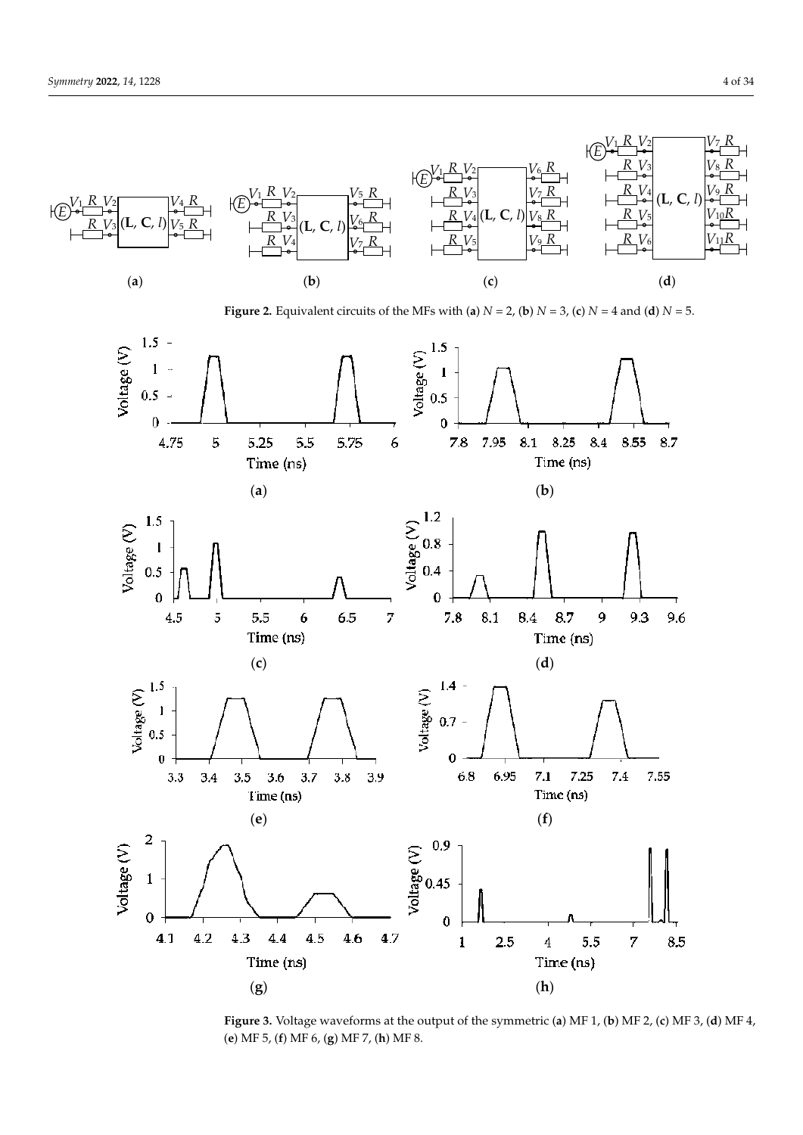

<span id="page-3-1"></span><span id="page-3-0"></span>**Figure 2.** Equivalent circuits of the MFs with (a)  $N = 2$ , (b)  $N = 3$ , (c)  $N = 4$  and (d)  $N = 5$ .



Figure 3. Voltage waveforms at the output of the symmetric (a) MF 1, (b) MF 2, (c) MF 3, (d) MF 4, (a) MF5, (f) MF6, (a) MF7, (b) MF8 (b) is equal to the number of conductors. This means the simulation of modes are simultaneous arrival of modes are simultaneous arrival of modes are simultaneous arrival of modes are simultaneous arrival of modes are simu (**e**) MF 5, (**f**) MF 6, (**g**) MF 7, (**h**) MF 8. (**e**) MF 5, (**f**) MF 6, (**g**) MF 7, (**h**) MF 8.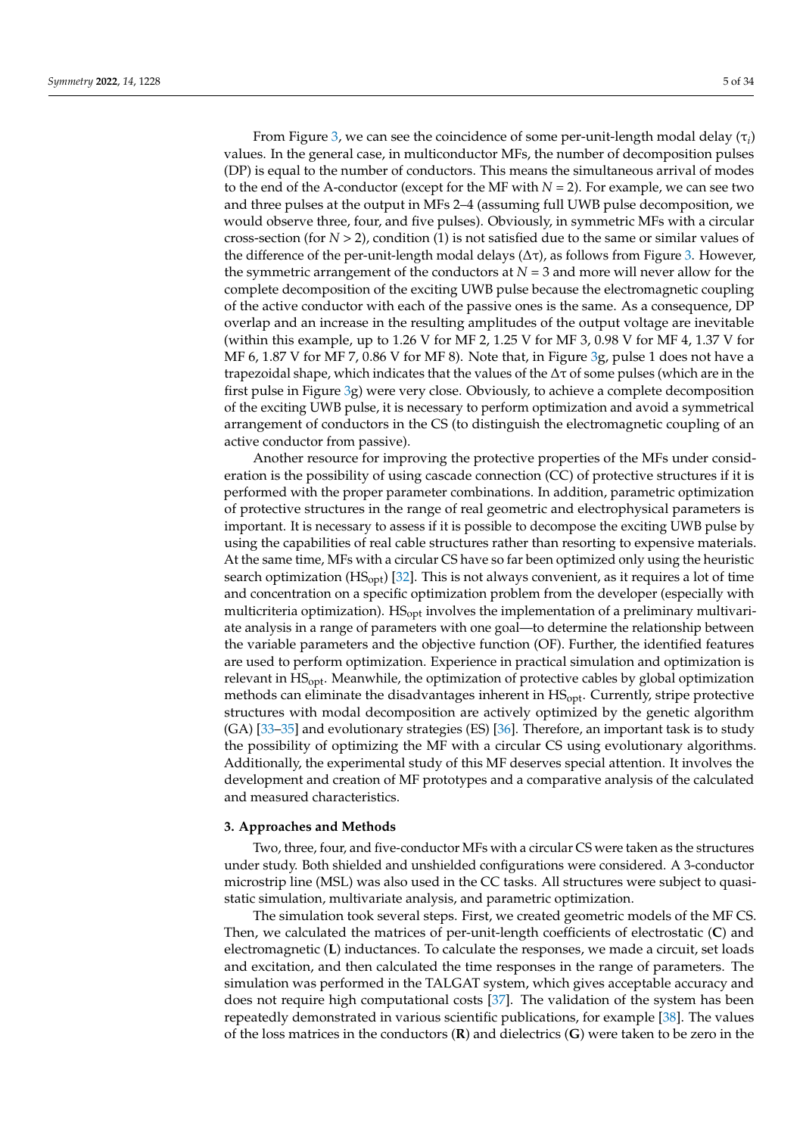From Figure [3,](#page-3-1) we can see the coincidence of some per-unit-length modal delay (τ*<sup>i</sup>* ) values. In the general case, in multiconductor MFs, the number of decomposition pulses (DP) is equal to the number of conductors. This means the simultaneous arrival of modes to the end of the A-conductor (except for the MF with  $N = 2$ ). For example, we can see two and three pulses at the output in MFs 2–4 (assuming full UWB pulse decomposition, we would observe three, four, and five pulses). Obviously, in symmetric MFs with a circular cross-section (for *N* > 2), condition (1) is not satisfied due to the same or similar values of the difference of the per-unit-length modal delays ( $Δτ$ ), as follows from Figure [3.](#page-3-1) However, the symmetric arrangement of the conductors at  $N = 3$  and more will never allow for the complete decomposition of the exciting UWB pulse because the electromagnetic coupling of the active conductor with each of the passive ones is the same. As a consequence, DP overlap and an increase in the resulting amplitudes of the output voltage are inevitable (within this example, up to 1.26 V for MF 2, 1.25 V for MF 3, 0.98 V for MF 4, 1.37 V for MF 6, 1.87 V for MF 7, 0.86 V for MF 8). Note that, in Figure [3g](#page-3-1), pulse 1 does not have a trapezoidal shape, which indicates that the values of the  $\Delta\tau$  of some pulses (which are in the first pulse in Figure [3g](#page-3-1)) were very close. Obviously, to achieve a complete decomposition of the exciting UWB pulse, it is necessary to perform optimization and avoid a symmetrical arrangement of conductors in the CS (to distinguish the electromagnetic coupling of an active conductor from passive).

Another resource for improving the protective properties of the MFs under consideration is the possibility of using cascade connection (CC) of protective structures if it is performed with the proper parameter combinations. In addition, parametric optimization of protective structures in the range of real geometric and electrophysical parameters is important. It is necessary to assess if it is possible to decompose the exciting UWB pulse by using the capabilities of real cable structures rather than resorting to expensive materials. At the same time, MFs with a circular CS have so far been optimized only using the heuristic search optimization ( $HS_{opt}$ ) [\[32\]](#page-32-14). This is not always convenient, as it requires a lot of time and concentration on a specific optimization problem from the developer (especially with multicriteria optimization). HS<sub>opt</sub> involves the implementation of a preliminary multivariate analysis in a range of parameters with one goal—to determine the relationship between the variable parameters and the objective function (OF). Further, the identified features are used to perform optimization. Experience in practical simulation and optimization is relevant in HSopt. Meanwhile, the optimization of protective cables by global optimization methods can eliminate the disadvantages inherent in  $HS<sub>opt</sub>$ . Currently, stripe protective structures with modal decomposition are actively optimized by the genetic algorithm (GA) [\[33](#page-32-15)[–35\]](#page-32-16) and evolutionary strategies (ES) [\[36\]](#page-32-17). Therefore, an important task is to study the possibility of optimizing the MF with a circular CS using evolutionary algorithms. Additionally, the experimental study of this MF deserves special attention. It involves the development and creation of MF prototypes and a comparative analysis of the calculated and measured characteristics.

### <span id="page-4-0"></span>**3. Approaches and Methods**

Two, three, four, and five-conductor MFs with a circular CS were taken as the structures under study. Both shielded and unshielded configurations were considered. A 3-conductor microstrip line (MSL) was also used in the CC tasks. All structures were subject to quasistatic simulation, multivariate analysis, and parametric optimization.

The simulation took several steps. First, we created geometric models of the MF CS. Then, we calculated the matrices of per-unit-length coefficients of electrostatic (**C**) and electromagnetic (**L**) inductances. To calculate the responses, we made a circuit, set loads and excitation, and then calculated the time responses in the range of parameters. The simulation was performed in the TALGAT system, which gives acceptable accuracy and does not require high computational costs [\[37\]](#page-32-18). The validation of the system has been repeatedly demonstrated in various scientific publications, for example [\[38\]](#page-33-0). The values of the loss matrices in the conductors (**R**) and dielectrics (**G**) were taken to be zero in the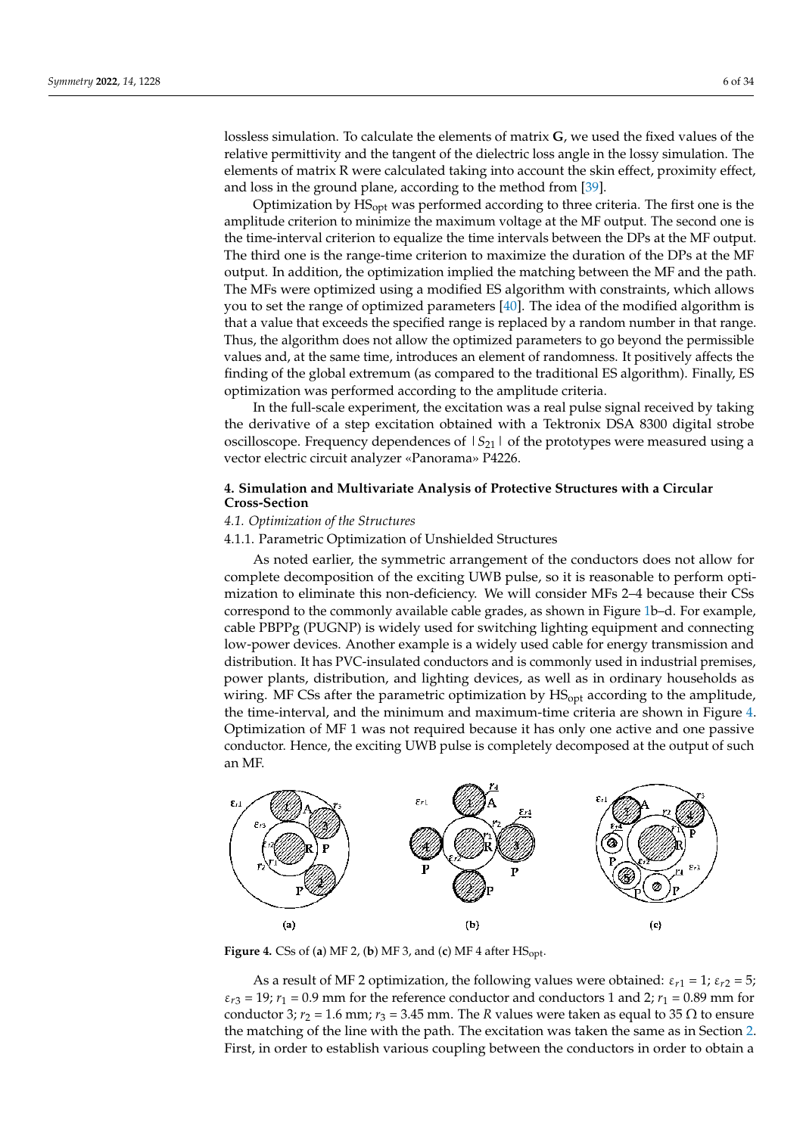lossless simulation. To calculate the elements of matrix **G**, we used the fixed values of the relative permittivity and the tangent of the dielectric loss angle in the lossy simulation. The elements of matrix R were calculated taking into account the skin effect, proximity effect, and loss in the ground plane, according to the method from [\[39\]](#page-33-1).

Optimization by HSopt was performed according to three criteria. The first one is the amplitude criterion to minimize the maximum voltage at the MF output. The second one is the time-interval criterion to equalize the time intervals between the DPs at the MF output. The third one is the range-time criterion to maximize the duration of the DPs at the MF output. In addition, the optimization implied the matching between the MF and the path. The MFs were optimized using a modified ES algorithm with constraints, which allows you to set the range of optimized parameters [\[40\]](#page-33-2). The idea of the modified algorithm is that a value that exceeds the specified range is replaced by a random number in that range. Thus, the algorithm does not allow the optimized parameters to go beyond the permissible values and, at the same time, introduces an element of randomness. It positively affects the finding of the global extremum (as compared to the traditional ES algorithm). Finally, ES optimization was performed according to the amplitude criteria.

In the full-scale experiment, the excitation was a real pulse signal received by taking the derivative of a step excitation obtained with a Tektronix DSA 8300 digital strobe oscilloscope. Frequency dependences of  $|S_{21}|$  of the prototypes were measured using a vector electric circuit analyzer «Panorama» P4226.

# <span id="page-5-0"></span>**4. Simulation and Multivariate Analysis of Protective Structures with a Circular Cross-Section**

# <span id="page-5-2"></span>*4.1. Optimization of the Structures*

## 4.1.1. Parametric Optimization of Unshielded Structures

As noted earlier, the symmetric arrangement of the conductors does not allow for complete decomposition of the exciting UWB pulse, so it is reasonable to perform optimization to eliminate this non-deficiency. We will consider MFs 2–4 because their CSs correspond to the commonly available cable grades, as shown in Figure [1b](#page-2-1)–d. For example, cable PBPPg (PUGNP) is widely used for switching lighting equipment and connecting low-power devices. Another example is a widely used cable for energy transmission and distribution. It has PVC-insulated conductors and is commonly used in industrial premises, power plants, distribution, and lighting devices, as well as in ordinary households as wiring. MF CSs after the parametric optimization by HS<sub>opt</sub> according to the amplitude, the time-interval, and the minimum and maximum-time criteria are shown in Figure [4.](#page-5-1) Optimization of MF 1 was not required because it has only one active and one passive conductor. Hence, the exciting UWB pulse is completely decomposed at the output of such an MF.

<span id="page-5-1"></span>

**Figure 4.** CSs of (**a**) MF 2, (**b**) MF 3, and (**c**) MF 4 after  $HS<sub>opt</sub>$ .

As a result of MF 2 optimization, the following values were obtained:  $\varepsilon_{r1} = 1$ ;  $\varepsilon_{r2} = 5$ ;  $\varepsilon_{r3}$  = 19;  $r_1$  = 0.9 mm for the reference conductor and conductors 1 and 2;  $r_1$  = 0.89 mm for conductor 3;  $r_2 = 1.6$  mm;  $r_3 = 3.45$  mm. The *R* values were taken as equal to 35  $\Omega$  to ensure the matching of the line with the path. The excitation was taken the same as in Section [2.](#page-2-0) First, in order to establish various coupling between the conductors in order to obtain a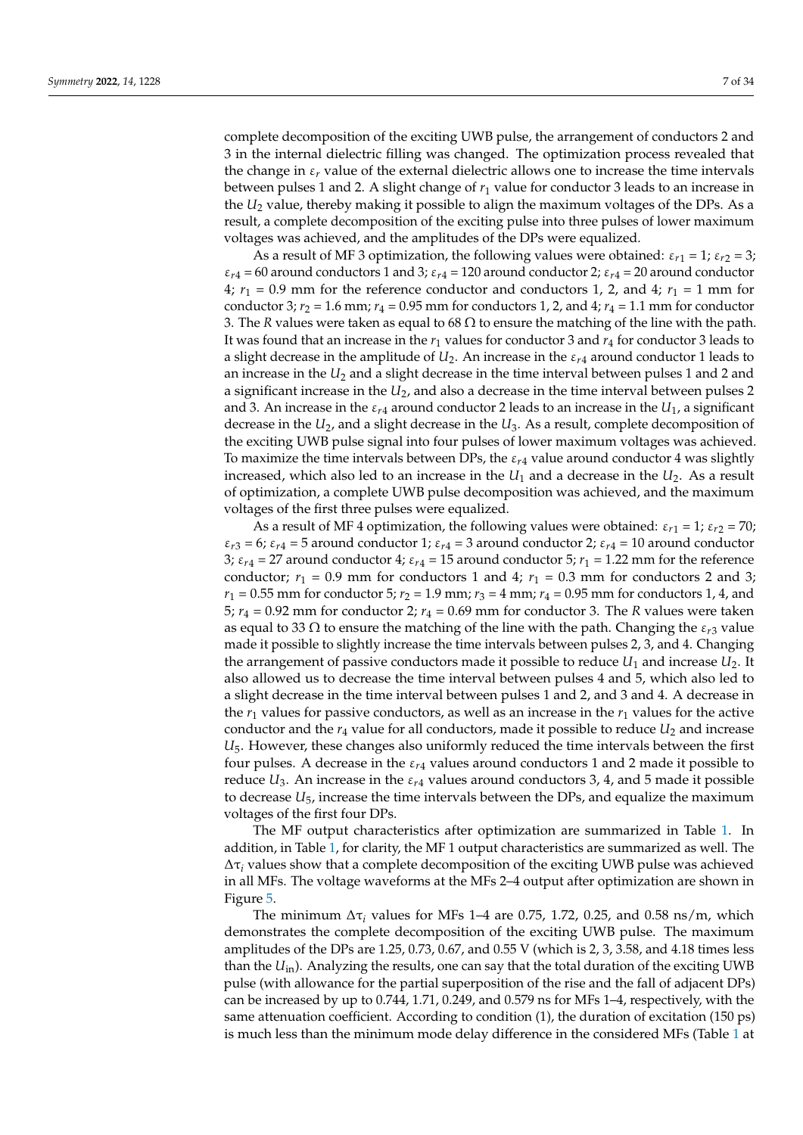complete decomposition of the exciting UWB pulse, the arrangement of conductors 2 and 3 in the internal dielectric filling was changed. The optimization process revealed that the change in  $\varepsilon_r$  value of the external dielectric allows one to increase the time intervals between pulses 1 and 2. A slight change of *r*<sup>1</sup> value for conductor 3 leads to an increase in the *U*<sup>2</sup> value, thereby making it possible to align the maximum voltages of the DPs. As a result, a complete decomposition of the exciting pulse into three pulses of lower maximum voltages was achieved, and the amplitudes of the DPs were equalized.

As a result of MF 3 optimization, the following values were obtained:  $\varepsilon_{r1} = 1$ ;  $\varepsilon_{r2} = 3$ ;  $\varepsilon_{r4}$  = 60 around conductors 1 and 3;  $\varepsilon_{r4}$  = 120 around conductor 2;  $\varepsilon_{r4}$  = 20 around conductor  $4; r_1 = 0.9$  mm for the reference conductor and conductors 1, 2, and 4;  $r_1 = 1$  mm for conductor 3;  $r_2 = 1.6$  mm;  $r_4 = 0.95$  mm for conductors 1, 2, and 4;  $r_4 = 1.1$  mm for conductor 3. The *R* values were taken as equal to 68  $\Omega$  to ensure the matching of the line with the path. It was found that an increase in the *r*<sup>1</sup> values for conductor 3 and *r*<sup>4</sup> for conductor 3 leads to a slight decrease in the amplitude of  $U_2$ . An increase in the  $\varepsilon_{r4}$  around conductor 1 leads to an increase in the  $U_2$  and a slight decrease in the time interval between pulses 1 and 2 and a significant increase in the *U*2, and also a decrease in the time interval between pulses 2 and 3. An increase in the  $\varepsilon_{r4}$  around conductor 2 leads to an increase in the  $U_1$ , a significant decrease in the  $U_2$ , and a slight decrease in the  $U_3$ . As a result, complete decomposition of the exciting UWB pulse signal into four pulses of lower maximum voltages was achieved. To maximize the time intervals between DPs, the  $\varepsilon_{r4}$  value around conductor 4 was slightly increased, which also led to an increase in the  $U_1$  and a decrease in the  $U_2$ . As a result of optimization, a complete UWB pulse decomposition was achieved, and the maximum voltages of the first three pulses were equalized.

As a result of MF 4 optimization, the following values were obtained:  $\varepsilon_{r1} = 1$ ;  $\varepsilon_{r2} = 70$ ;  $\varepsilon_{r3}$  = 6;  $\varepsilon_{r4}$  = 5 around conductor 1;  $\varepsilon_{r4}$  = 3 around conductor 2;  $\varepsilon_{r4}$  = 10 around conductor 3;  $\varepsilon_{r4} = 27$  around conductor 4;  $\varepsilon_{r4} = 15$  around conductor 5;  $r_1 = 1.22$  mm for the reference conductor;  $r_1 = 0.9$  mm for conductors 1 and 4;  $r_1 = 0.3$  mm for conductors 2 and 3;  $r_1 = 0.55$  mm for conductor 5;  $r_2 = 1.9$  mm;  $r_3 = 4$  mm;  $r_4 = 0.95$  mm for conductors 1, 4, and 5;  $r_4 = 0.92$  mm for conductor 2;  $r_4 = 0.69$  mm for conductor 3. The *R* values were taken as equal to 33  $\Omega$  to ensure the matching of the line with the path. Changing the  $\varepsilon_{r3}$  value made it possible to slightly increase the time intervals between pulses 2, 3, and 4. Changing the arrangement of passive conductors made it possible to reduce  $U_1$  and increase  $U_2$ . It also allowed us to decrease the time interval between pulses 4 and 5, which also led to a slight decrease in the time interval between pulses 1 and 2, and 3 and 4. A decrease in the  $r_1$  values for passive conductors, as well as an increase in the  $r_1$  values for the active conductor and the  $r_4$  value for all conductors, made it possible to reduce  $U_2$  and increase *U*5. However, these changes also uniformly reduced the time intervals between the first four pulses. A decrease in the  $\varepsilon_{r4}$  values around conductors 1 and 2 made it possible to reduce  $U_3$ . An increase in the  $\varepsilon_{r4}$  values around conductors 3, 4, and 5 made it possible to decrease *U*5, increase the time intervals between the DPs, and equalize the maximum voltages of the first four DPs.

The MF output characteristics after optimization are summarized in Table [1.](#page-7-0) In addition, in Table [1,](#page-7-0) for clarity, the MF 1 output characteristics are summarized as well. The  $\Delta \tau_i$  values show that a complete decomposition of the exciting UWB pulse was achieved in all MFs. The voltage waveforms at the MFs 2–4 output after optimization are shown in Figure [5.](#page-7-1)

The minimum  $\Delta \tau_i$  values for MFs 1–4 are 0.75, 1.72, 0.25, and 0.58 ns/m, which demonstrates the complete decomposition of the exciting UWB pulse. The maximum amplitudes of the DPs are 1.25, 0.73, 0.67, and 0.55 V (which is 2, 3, 3.58, and 4.18 times less than the *U*in). Analyzing the results, one can say that the total duration of the exciting UWB pulse (with allowance for the partial superposition of the rise and the fall of adjacent DPs) can be increased by up to 0.744, 1.71, 0.249, and 0.579 ns for MFs 1–4, respectively, with the same attenuation coefficient. According to condition (1), the duration of excitation (150 ps) is much less than the minimum mode delay difference in the considered MFs (Table [1](#page-7-0) at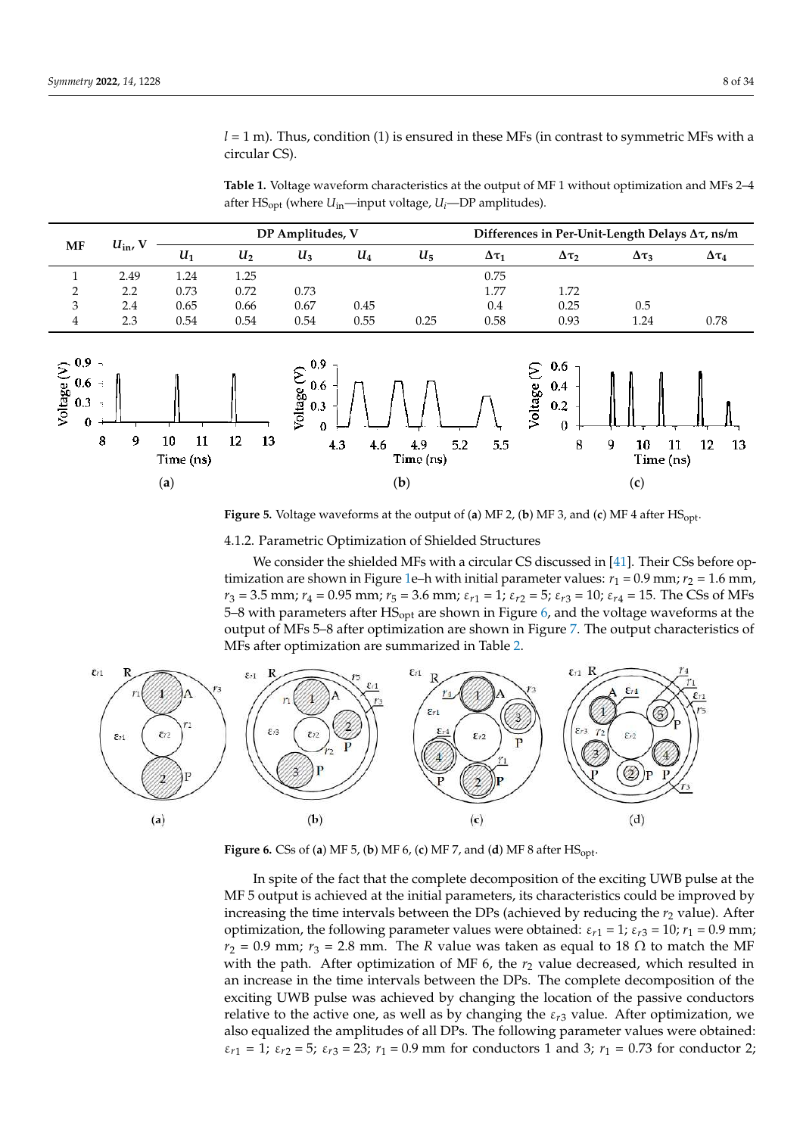*l* = 1 m). Thus, condition (1) is ensured in these MFs (in contrast to symmetric MFs with a circular CS).

<span id="page-7-0"></span>**Table 1.** Voltage waveform characteristics at the output of MF 1 without optimization and MFs 2–4 after HS<sub>opt</sub> (where  $U_{in}$ —input voltage,  $U_i$ —DP amplitudes).

|    | $U_{\text{in}}$<br>- 37 |       |       | DP Amplitudes, V |      |       |                 | Differences in Per-Unit-Length Delays $\Delta \tau$ , ns/m |                 |                 |  |  |
|----|-------------------------|-------|-------|------------------|------|-------|-----------------|------------------------------------------------------------|-----------------|-----------------|--|--|
| MF |                         | $U_1$ | $U_2$ | $U_3$            | U4   | $U_5$ | $\Delta \tau_1$ | Δτ                                                         | $\Delta \tau_3$ | $\Delta \tau_4$ |  |  |
|    | 2.49                    | 1.24  | 1.25  |                  |      |       | 0.75            |                                                            |                 |                 |  |  |
| റ  | 2.2                     | 0.73  | 0.72  | 0.73             |      |       | 1.77            | 1.72                                                       |                 |                 |  |  |
| 3  | 2.4                     | 0.65  | 0.66  | 0.67             | 0.45 |       | 0.4             | 0.25                                                       | 0.5             |                 |  |  |
| 4  | 2.3                     | 0.54  | 0.54  | 0.54             | 0.55 | 0.25  | 0.58            | 0.93                                                       | 1.24            | 0.78            |  |  |



<span id="page-7-1"></span>Figure 5. Voltage waveforms at the output of (a) MF 2, (b) MF 3, and (c) MF 4 after  $HS_{\text{opt}}$ .

<span id="page-7-2"></span>4.1.2. Parametric Optimization of Shielded Structures

We consider the shielded MFs with a circular CS discussed in [\[41\]](#page-33-3). Their CSs before op- $\mu$  timization are shown in Figure [1e](#page-2-1)–h with initial parameter values:  $r_1$  = 0.9 mm;  $r_2$  = 1.6 mm,  $r_3 = 3.5$  mm;  $r_4 = 0.95$  mm;  $r_5 = 3.6$  mm;  $\varepsilon_{r1} = 1$ ;  $\varepsilon_{r2} = 5$ ;  $\varepsilon_{r3} = 10$ ;  $\varepsilon_{r4} = 15$ . The CSs of MFs 5–8 with parameters after  $HS_{opt}$  are shown in Figure [6,](#page-7-2) and the voltage waveforms at the 2 2.2 0.73 0.72 0.73 1.77 1.72 MFs after optimization are summarized in Table [2.](#page-8-1) output of MFs 5–8 after optimization are shown in Figure [7.](#page-8-0) The output characteristics of



**Figure 6.** CSs of (**a**) MF 5, (**b**) MF 6, (**c**) MF 7, and (**d**) MF 8 after  $\text{HS}_{\text{opt}}$ .

MF 5 output is achieved at the initial parameters, its characteristics could be improved by increasing the time intervals between the DPs (achieved by reducing the  $r_2$  value). After optimization, the following parameter values were obtained:  $\varepsilon_{r1} = 1$ ;  $\varepsilon_{r3} = 10$ ;  $r_1 = 0.9$  mm;  $r_2 = 0.9$  mm;  $r_3 = 2.8$  mm. The R value was taken as equal to  $18 \Omega$  to match the MF with the path. Then optimization of  $\frac{1}{2}$  with  $\frac{1}{2}$  value decreased, which resulted in an increase in the time intervals between the DPs. The complete decomposition of the time intervals between the DPs. The complete decomposition of the relative to the active one, as well as by changing the iscalibri of the passive conductors relative to the active one, as well as by changing the  $\varepsilon_{r3}$  value. After optimization, we Educt to the decree one, as went as by enarging the  $\epsilon_{rs}$  variable the optimization, we also equalized the amplitudes of all DPs. The following parameter values were obtained:  $\frac{M}{\sqrt{2}}$  output is achieved by  $\frac{M}{\sqrt{2}}$  on  $\frac{M}{\sqrt{2}}$  or  $\frac{M}{\sqrt{2}}$  on  $\frac{M}{\sqrt{2}}$  or  $\frac{M}{\sqrt{2}}$  or  $\frac{M}{\sqrt{2}}$  or  $\frac{M}{\sqrt{2}}$  or  $\frac{M}{\sqrt{2}}$  or  $\frac{M}{\sqrt{2}}$  or  $\frac{M}{\sqrt{2}}$  or  $\frac{M}{\sqrt{2}}$  or  $\frac{M}{\sqrt{2$  $\varepsilon_{r1} = 1$ ;  $\varepsilon_{r2} = 5$ ;  $\varepsilon_{r3} = 23$ ;  $r_1 = 0.9$  mm for conductors 1 and 3;  $r_1 = 0.73$  for conductor 2; In spite of the fact that the complete decomposition of the exciting UWB pulse at the with the path. After optimization of MF  $6$ , the  $r<sub>2</sub>$  value decreased, which resulted in exciting UWB pulse was achieved by changing the location of the passive conductors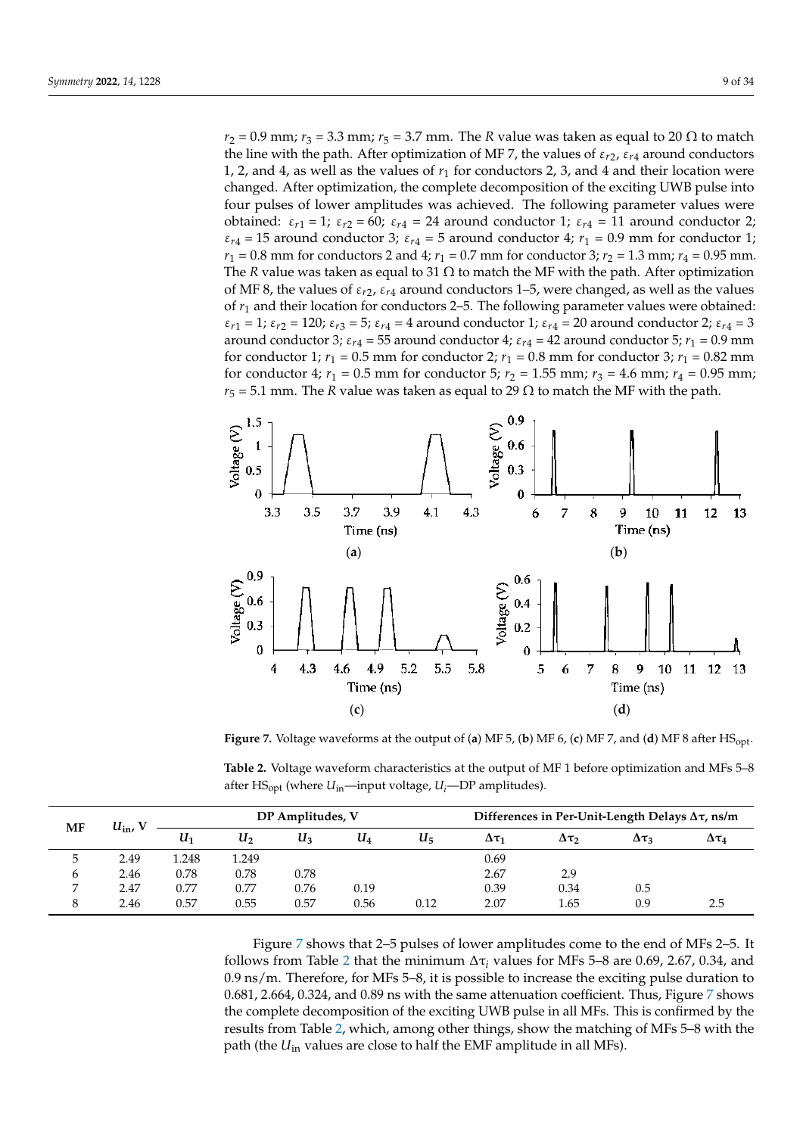ε ε*r*<sup>2</sup>

 $r_2 = 0.9$  mm;  $r_3 = 3.3$  mm;  $r_5 = 3.7$  mm. The *R* value was taken as equal to 20  $\Omega$  to match  $t_2 = 0.5$  mm,  $t_3 = 0.5$  mm,  $t_3 = 0.7$  mm. The *r* variation of MF 7, the values of  $\varepsilon_{r2}$ ,  $\varepsilon_{r4}$  around conductors 1, 2, and 4, as well as the values of *r*<sup>1</sup> for conductors 2, 3, and 4 and their location were changed. After optimization, the complete decomposition of the exciting UWB pulse into (**a**) (**b**) (**c**) (**d**) four pulses of lower amplitudes was achieved. The following parameter values were obtained:  $\varepsilon_{r1} = 1$ ;  $\varepsilon_{r2} = 60$ ;  $\varepsilon_{r4} = 24$  around conductor 1;  $\varepsilon_{r4} = 11$  around conductor 2;  $\varepsilon_{r4}$  = 15 around conductor 3;  $\varepsilon_{r4}$  = 5 around conductor 4;  $r_1$  = 0.9 mm for conductor 1;  $r_1 = 0.8$  mm for conductors 2 and 4;  $r_1 = 0.7$  mm for conductor 3;  $r_2 = 1.3$  mm;  $r_4 = 0.95$  mm. The *R* value was taken as equal to 31  $\Omega$  to match the MF with the path. After optimization of MF 8, the values of  $\varepsilon_{r2}$ ,  $\varepsilon_{r4}$  around conductors 1–5, were changed, as well as the values of  $r_1$  and their location for conductors 2-5. The following parameter values were obtained:  $\varepsilon_{r1} = 1$ ;  $\varepsilon_{r2} = 120$ ;  $\varepsilon_{r3} = 5$ ;  $\varepsilon_{r4} = 4$  around conductor 1;  $\varepsilon_{r4} = 20$  around conductor 2;  $\varepsilon_{r4} = 3$ around conductor 3;  $\varepsilon_{r4}$  = 55 around conductor 4;  $\varepsilon_{r4}$  = 42 around conductor 5;  $r_1$  = 0.9 mm for conductor 1;  $r_1 = 0.5$  mm for conductor 2;  $r_1 = 0.8$  mm for conductor 3;  $r_1 = 0.82$  mm for conductor 4;  $r_1 = 0.5$  mm for conductor 5;  $r_2 = 1.55$  mm;  $r_3 = 4.6$  mm;  $r_4 = 0.95$  mm;  $r_5 = 5.1$  mm. The *R* value was taken as equal to 29  $\Omega$  to match the MF with the path. m. The R value was taken as equal to 20  $\Omega$ 

ε*r*<sup>2</sup>

ε*r*<sup>4</sup>

<span id="page-8-0"></span>

Figure 7. Voltage waveforms at the output of (a) MF 5, (b) MF 6, (c) MF 7, and (d) MF 8 after  $\text{HS}_{\text{opt}}$ .

<span id="page-8-1"></span>Table 2. Voltage waveform characteristics at the output of MF 1 before optimization and MFs 5-8 after HS<sub>opt</sub> (where *U*<sub>in</sub>—input voltage, *U*<sub>i</sub>—DP amplitudes).

|              | $U_{\rm in}$ , V |       |       | DP Amplitudes, V |       |       | Differences in Per-Unit-Length Delays $\Delta\tau$ , ns/m |                 |                 |                 |  |
|--------------|------------------|-------|-------|------------------|-------|-------|-----------------------------------------------------------|-----------------|-----------------|-----------------|--|
| MF           |                  | $U_1$ | U2    | $U_3$            | $U_4$ | $U_5$ | $\Delta \tau_1$                                           | $\Delta \tau_2$ | $\Delta \tau_3$ | $\Delta \tau_4$ |  |
|              | 2.49             | 1.248 | 1.249 |                  |       |       | 0.69                                                      |                 |                 |                 |  |
| <sub>b</sub> | 2.46             | 0.78  | 0.78  | 0.78             |       |       | 2.67                                                      | 2.9             |                 |                 |  |
|              | 2.47             | 0.77  | 0.77  | 0.76             | 0.19  |       | 0.39                                                      | 0.34            | 0.5             |                 |  |
| 8            | 2.46             | 0.57  | 0.55  | 0.57             | 0.56  | 0.12  | 2.07                                                      | 1.65            | 0.9             | 2.5             |  |

Figure 7 shows that 2–5 pulses of lower amplitudes come to the end of MFs 2–5. It follows from Table 2 that the minimum  $\Delta \tau_i$  values for MFs 5–8 are 0.69, 2.67, 0.34, and 0.9 ns/m. Therefore, for MFs 5–8, it is possible to increase the exciting pulse duration to  $0.681$ ,  $2.664$ ,  $0.324$ , and  $0.89$  ns with the same attenuation coefficient. Thus, Figure 7 shows the complete decomposition of the exciting UWB pulse in all MFs. This is confirmed by the results from Table 2, [w](#page-8-1)hich, among other things, show the matching of MFs 5–8 with the path (the *U*<sub>in</sub> values are close to half the EMF amplitude in all MFs).

ε*r*<sup>2</sup>

ε*r*<sup>3</sup> *r*2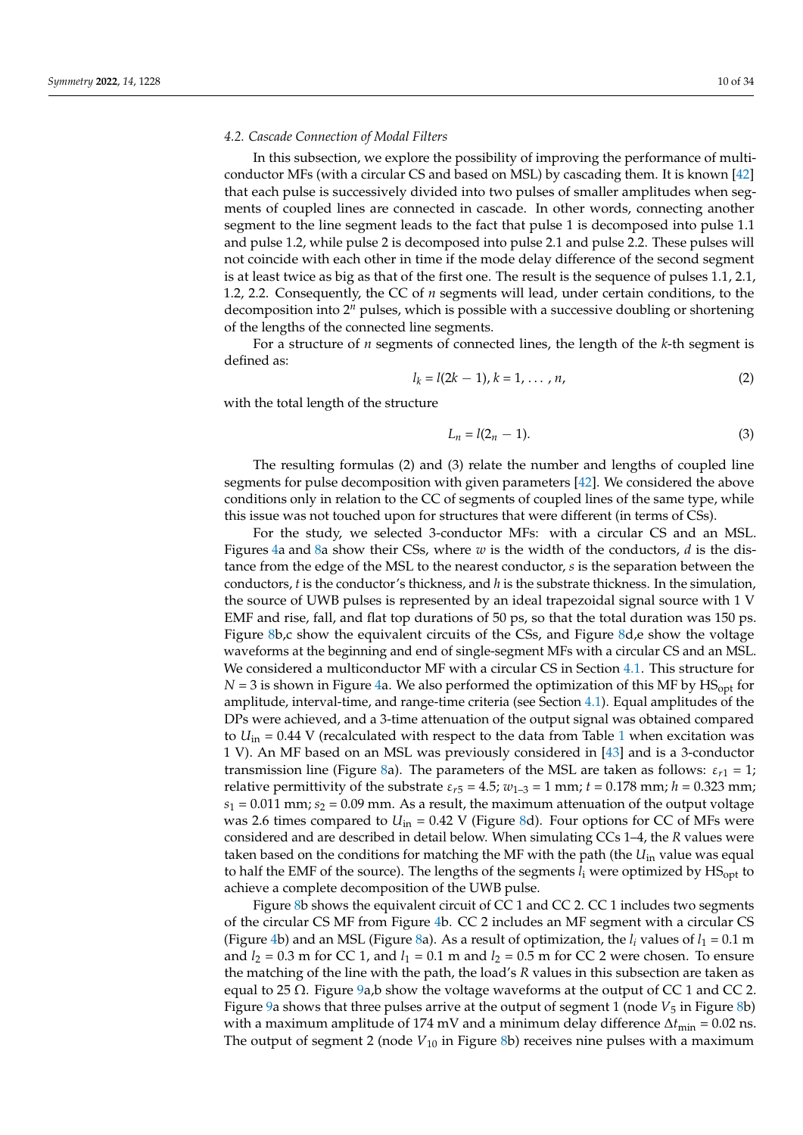# *4.2. Cascade Connection of Modal Filters*

In this subsection, we explore the possibility of improving the performance of multiconductor MFs (with a circular CS and based on MSL) by cascading them. It is known [\[42\]](#page-33-4) that each pulse is successively divided into two pulses of smaller amplitudes when segments of coupled lines are connected in cascade. In other words, connecting another segment to the line segment leads to the fact that pulse 1 is decomposed into pulse 1.1 and pulse 1.2, while pulse 2 is decomposed into pulse 2.1 and pulse 2.2. These pulses will not coincide with each other in time if the mode delay difference of the second segment is at least twice as big as that of the first one. The result is the sequence of pulses 1.1, 2.1, 1.2, 2.2. Consequently, the CC of *n* segments will lead, under certain conditions, to the decomposition into 2*<sup>n</sup>* pulses, which is possible with a successive doubling or shortening of the lengths of the connected line segments.

For a structure of *n* segments of connected lines, the length of the *k*-th segment is defined as:

$$
l_k = l(2k - 1), k = 1, ..., n,
$$
 (2)

with the total length of the structure

$$
L_n = l(2_n - 1). \tag{3}
$$

The resulting formulas (2) and (3) relate the number and lengths of coupled line segments for pulse decomposition with given parameters [\[42\]](#page-33-4). We considered the above conditions only in relation to the CC of segments of coupled lines of the same type, while this issue was not touched upon for structures that were different (in terms of CSs).

For the study, we selected 3-conductor MFs: with a circular CS and an MSL. Figures [4a](#page-5-1) and [8a](#page-10-0) show their CSs, where  $w$  is the width of the conductors,  $d$  is the distance from the edge of the MSL to the nearest conductor, *s* is the separation between the conductors, *t* is the conductor's thickness, and *h* is the substrate thickness. In the simulation, the source of UWB pulses is represented by an ideal trapezoidal signal source with 1 V EMF and rise, fall, and flat top durations of 50 ps, so that the total duration was 150 ps. Figure [8b](#page-10-0),c show the equivalent circuits of the CSs, and Figure [8d](#page-10-0),e show the voltage waveforms at the beginning and end of single-segment MFs with a circular CS and an MSL. We considered a multiconductor MF with a circular CS in Section [4.1.](#page-5-2) This structure for  $N = 3$  is shown in Figure [4a](#page-5-1). We also performed the optimization of this MF by  $HS<sub>opt</sub>$  for amplitude, interval-time, and range-time criteria (see Section [4.1\)](#page-5-2). Equal amplitudes of the DPs were achieved, and a 3-time attenuation of the output signal was obtained compared to  $U_{\text{in}}$  = 0.44 V (recalculated with respect to the data from Table [1](#page-7-0) when excitation was 1 V). An MF based on an MSL was previously considered in [\[43\]](#page-33-5) and is a 3-conductor transmission line (Figure [8a](#page-10-0)). The parameters of the MSL are taken as follows:  $\varepsilon_{r1} = 1$ ; relative permittivity of the substrate  $\varepsilon_{r5} = 4.5$ ;  $w_{1-3} = 1$  mm;  $t = 0.178$  mm;  $h = 0.323$  mm;  $s_1 = 0.011$  mm;  $s_2 = 0.09$  mm. As a result, the maximum attenuation of the output voltage was 2.6 times compared to  $U_{\text{in}} = 0.42$  V (Figure [8d](#page-10-0)). Four options for CC of MFs were considered and are described in detail below. When simulating CCs 1–4, the *R* values were taken based on the conditions for matching the MF with the path (the *U*in value was equal to half the EMF of the source). The lengths of the segments  $l_i$  were optimized by  $HS_{opt}$  to achieve a complete decomposition of the UWB pulse.

Figure [8b](#page-10-0) shows the equivalent circuit of CC 1 and CC 2. CC 1 includes two segments of the circular CS MF from Figure [4b](#page-5-1). CC 2 includes an MF segment with a circular CS (Figure [4b](#page-5-1)) and an MSL (Figure [8a](#page-10-0)). As a result of optimization, the  $l_i$  values of  $l_1 = 0.1$  m and  $l_2 = 0.3$  m for CC 1, and  $l_1 = 0.1$  m and  $l_2 = 0.5$  m for CC 2 were chosen. To ensure the matching of the line with the path, the load's *R* values in this subsection are taken as equal to 25  $\Omega$ . Figure [9a](#page-12-0),b show the voltage waveforms at the output of CC 1 and CC 2. Figure [9a](#page-12-0) shows that three pulses arrive at the output of segment 1 (node  $V_5$  in Figure [8b](#page-10-0)) with a maximum amplitude of 174 mV and a minimum delay difference  $\Delta t_{\text{min}} = 0.02$  ns. The output of segment 2 (node  $V_{10}$  in Figure [8b](#page-10-0)) receives nine pulses with a maximum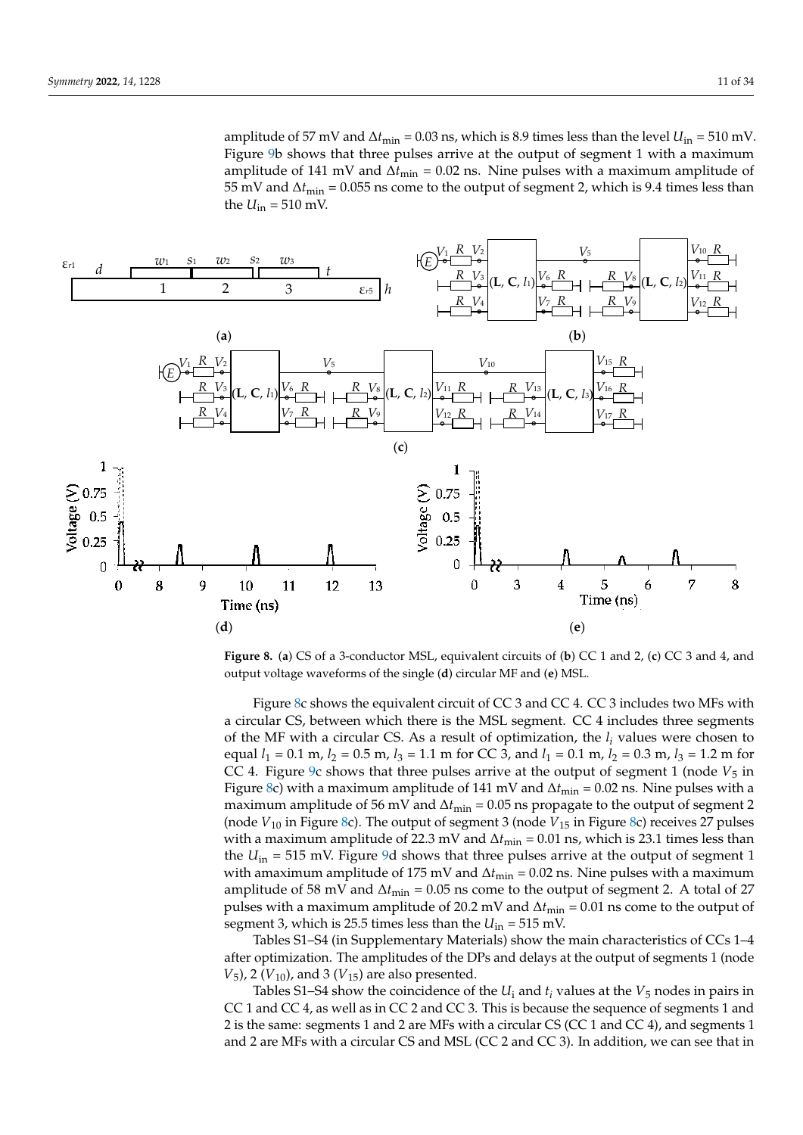<span id="page-10-0"></span>

Figure 8. (a) CS of a 3-conductor MSL, equivalent circuits of (b) CC 1 and 2, (c) CC 3 and 4, and output voltage waveforms of the single (**d**) circular MF and (**e**) MSL. output voltage waveforms of the single (**d**) circular MF and (**e**) MSL.

Figure 8c shows the equivalent circuit of CC 3 and CC 4. CC 3 includes two MFs with a circular CS, between which there is the MSL segment. CC 4 includes three segments of the MF with a circular CS. As a result of optimization, the *l<sub>i</sub>* values were chosen to equal  $l_1 = 0.1$  m,  $l_2 = 0.5$  m,  $l_3 = 1.1$  m for CC 3, and  $l_1 = 0.1$  m,  $l_2 = 0.3$  m,  $l_3 = 1.2$  m for CC 4. Figure 9c shows that three pulses arrive at the output of segment 1 (node  $V_5$  in Figure 8c) with a maximum amplitude of 141 mV and  $\Delta t$ <sub>min</sub> = 0.02 ns. Nine pulses with a maximum amplitude of 56 mV and  $\Delta t$ <sub>min</sub> = 0.05 ns propagate to the output of segment 2 (nod[e](#page-10-0)  $V_{10}$  in Figure [8c](#page-10-0)). The output of segment 3 (node  $V_{15}$  in Figure 8c) receives 27 pulses with a maximum amplitude of 22.3 mV and  $\Delta t_{\text{min}} = 0.01$  ns, which is 23.1 times less than the  $U_{\text{in}} = 515 \text{ mV}$ . Figure [9d](#page-12-0) shows that three pulses arrive at the output of segment 1 with amaximum amplitude of 175 mV and  $\Delta t_{\text{min}} = 0.02$  ns. Nine pulses with a maximum amplitude of 58 mV and  $\Delta t_{\text{min}} = 0.05$  ns come to the output of segment 2. A total of 27 pulses with a maximum amplitude of 20.2 mV and  $\Delta t_{\text{min}} = 0.01$  ns come to the output of segment 3, which is 25.5 times less than the  $U_{\text{in}} = 515 \text{ mV}$ .

Tables S1–S4 (in Supplementary Materials) show the main characteristics of CCs 1–4 after optimization. The amplitudes of the DPs and delays at the output of segments 1 (node  $V_5$ ), 2 ( $V_{10}$ ), and 3 ( $V_{15}$ ) are also presented.

Tables S1–S4 show the coincidence of the  $U_i$  and  $t_i$  values at the  $V_5$  nodes in pairs in CC 1 and CC 4, as well as in CC 2 and CC 3. This is because the sequence of segments 1 and 2 is the same: segments 1 and 2 are MFs with a circular CS (CC 1 and CC 4), and segments 1 and 2 are MFs with a circular CS and MSL (CC 2 and CC 3). In addition, we can see that in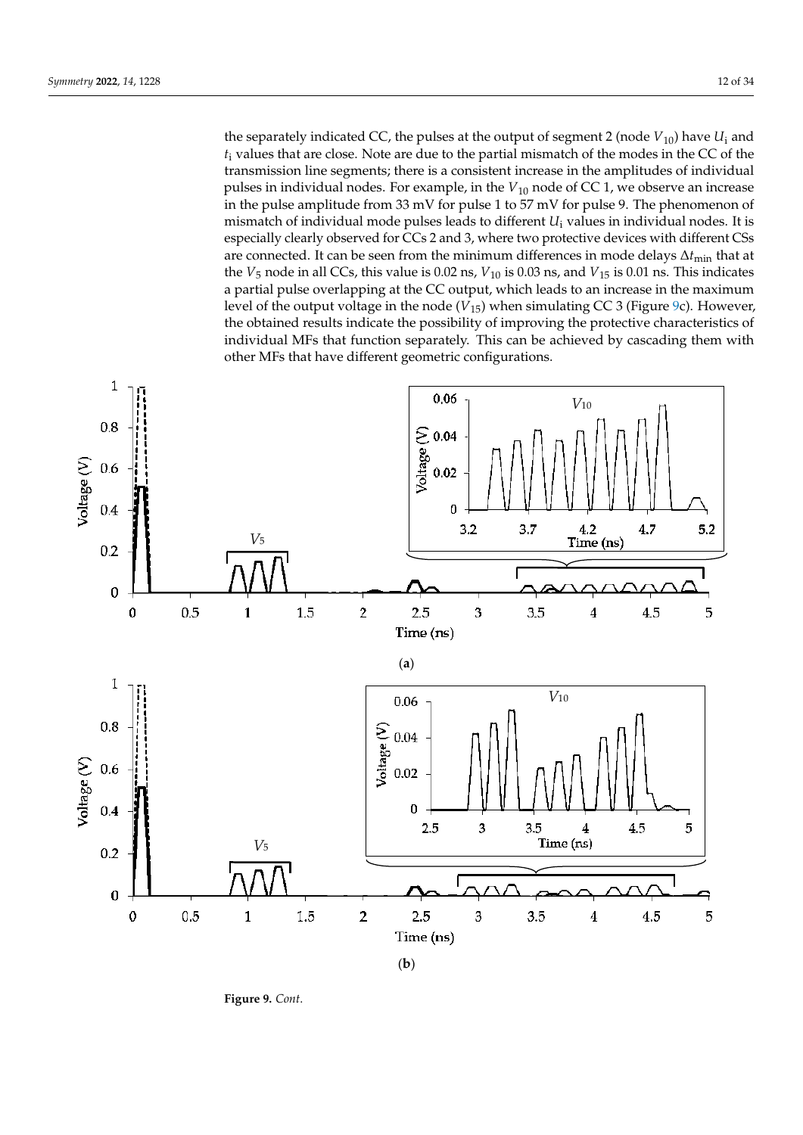the separately indicated CC, the pulses at the output of segment 2 (node  $V_{10}$ ) have  $U_i$  and  $t_i$  values that are close. Note are due to the partial mismatch of the modes in the CC of the transmission line segments; there is a consistent increase in the amplitudes of individual pulses in individual nodes. For example, in the  $V_{10}$  node of CC 1, we observe an increase in the pulse amplitude from 33 mV for pulse 1 to 57 mV for pulse 9. The phenomenon of mismatch of individual mode pulses leads to different  $U_i$  values in individual nodes. It is especially clearly observed for CCs 2 and 3, where two protective devices with different CSs are connected. It can be seen from the minimum differences in mode delays ∆*t*<sub>min</sub> that at the  $V_5$  node in all CCs, this value is 0.02 ns,  $V_{10}$  is 0.03 ns, and  $V_{15}$  is 0.01 ns. This indicates a partial pulse overlapping at the CC output, which leads to an increase in the maximum level of the output voltage in the node  $(V_{15})$  when simulating CC 3 (Figure [9c](#page-12-0)). However, the obtained results indicate the possibility of improving the protective characteristics of individual MFs that function separately. This can be achieved by cascading them with at a v<sub>1</sub> (*V<sub>15</sub>*), *2 (<i>V*<sub>10</sub>), *2* (*V*<sub>15</sub>), *2* (*V*<sub>15</sub>), *2* (*V*<sub>15</sub>), *2* (*V*<sub>15</sub>), *2* (*V*<sub>15</sub>), *2* (*V*<sub>15</sub>), *2* (*V*<sub>15</sub> other MFs that have different geometric configurations.



**Figure 9.** *Cont*.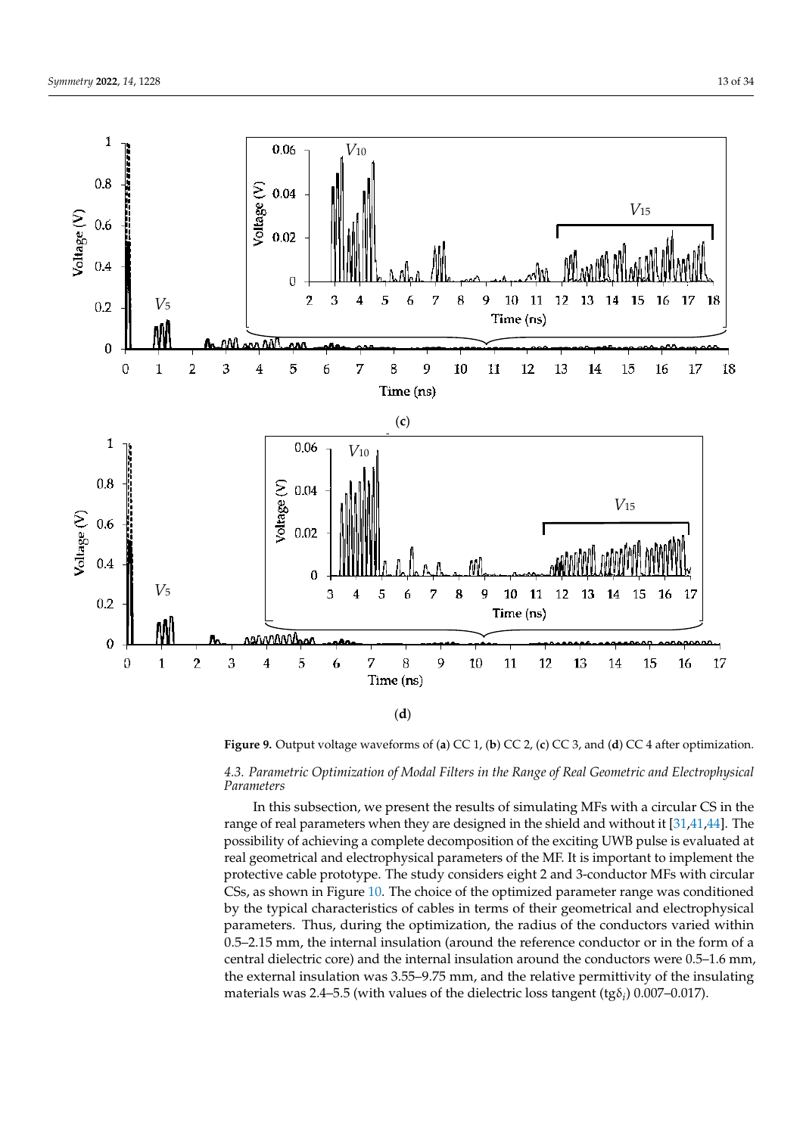

<span id="page-12-0"></span>

Figure 9. Output voltage waveforms of (a) CC 1, (b) CC 2, (c) CC 3, and (d) CC 4 after optimization.

Tables S1–S4 show the coincidence of the *U*<sup>i</sup> and *t<sup>i</sup>* values at the *V*<sup>5</sup> nodes in pairs in *4.3. Parametric Optimization of Modal Filters in the Range of Real Geometric and Electrophysical* Parameters **CCC** 3. As well as the sequence of sequence of sequence of sequence of sequence of sequence of sequence of sequence of sequence of sequence of sequence of sequence of sequence of sequence of sequence of sequenc *Parameters*

In this subsection, we present the results of simulating MFs with a circular CS in the range of real parameters when they are designed in the shield and without it  $[31,41,44]$ . The possibility of achieving a complete decomposition of the exciting UWB pulse is evaluated at real geometrical and electrophysical parameters of the MF. It is important to implement the protective cable prototype. The study considers eight 2 and 3-conductor MFs with circular CSs, as shown in Figure 10. The choice of the optimized parameter range was conditioned by the typical characteristics of cables in terms of their geometrical and electrophysical parameters. Thus, during the optimization, the radius of the conductors varied within  $0.5$ –2.15 mm, the internal insulation (around the reference conductor or in the form of a central dielectric core) and the internal insulation around the conductors were  $0.5-1.6$  mm, the external insulation was 3.55–9.75 mm, and the relative permittivity of the insulating materials was 2.4–5.5 (with values of the dielectric loss tangent (tg $\delta_i$ ) 0.007–0.017).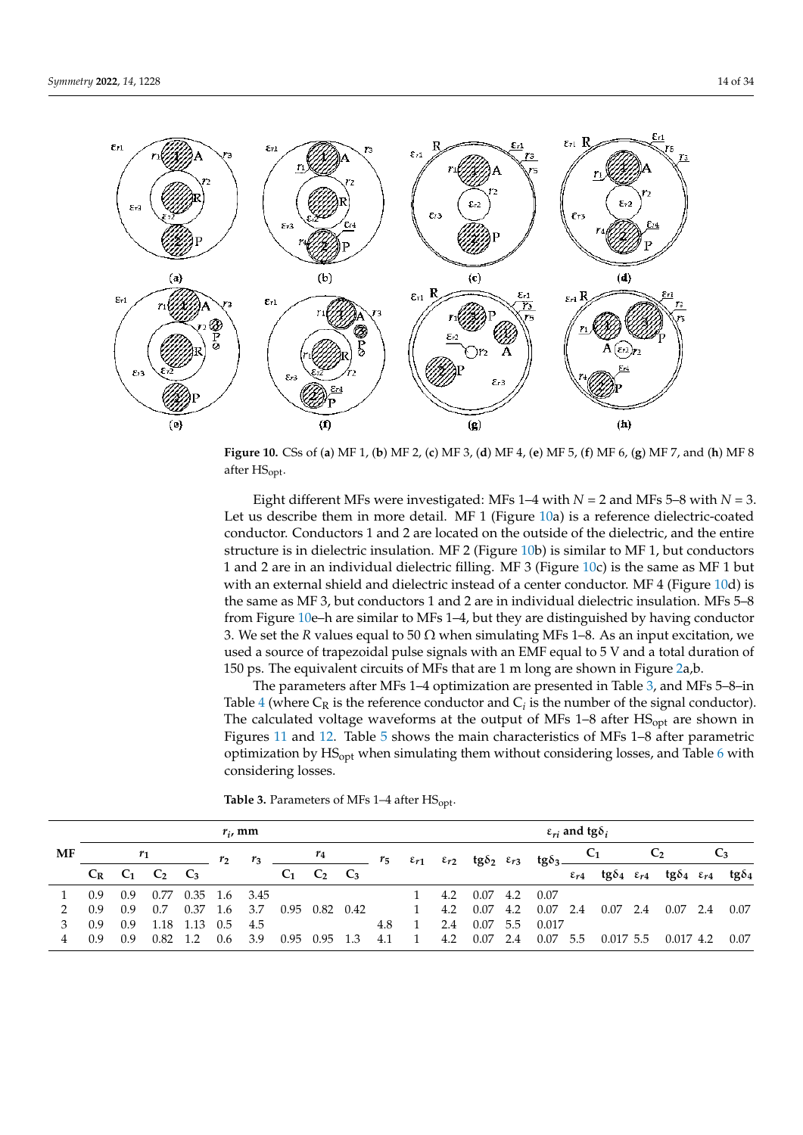<span id="page-13-0"></span>

**Figure 10.** CSs of (**a**) MF 1, (**b**) MF 2, (**c**) MF 3, (**d**) MF 4, (**e**) MF 5, (**f**) MF 6, (**g**) MF 7, and (**h**) MF 8 after HSopt.

Eight different MFs were investigated: MFs  $1-4$  with  $N = 2$  and MFs  $5-8$  with  $N = 3$ . Let us describe them in more detail. MF 1 (Figure [10a](#page-13-0)) is a reference dielectric-coated conductor. Conductors 1 and 2 are located on the outside of the dielectric, and the entire structure is in dielectric insulation. MF 2 (Figure [10b](#page-13-0)) is similar to MF 1, but conductors 1 and 2 are in an individual dielectric filling. MF 3 (Figure [10c](#page-13-0)) is the same as MF 1 but with an external shield and dielectric instead of a center conductor. MF 4 (Figure [10d](#page-13-0)) is the same as MF 3, but conductors 1 and 2 are in individual dielectric insulation. MFs 5–8 from Figure [10e](#page-13-0)–h are similar to MFs 1–4, but they are distinguished by having conductor 3. We set the *R* values equal to 50  $\Omega$  when simulating MFs 1–8. As an input excitation, we used a source of trapezoidal pulse signals with an EMF equal to 5 V and a total duration of 150 ps. The equivalent circuits of MFs that are 1 m long are shown in Figure [2a](#page-3-0),b.

The parameters after MFs 1–4 optimization are presented in Table [3,](#page-13-1) and MFs 5–8–in Table  $4$  (where  $C_R$  is the reference conductor and  $C_i$  is the number of the signal conductor). The calculated voltage waveforms at the output of MFs  $1-8$  after  $HS<sub>opt</sub>$  are shown in Figures [11](#page-14-1) and [12.](#page-14-2) Table [5](#page-15-0) shows the main characteristics of MFs 1–8 after parametric optimization by  $HS<sub>opt</sub>$  when simulating them without considering losses, and Table [6](#page-15-1) with considering losses.

<span id="page-13-1"></span>**Table 3.** Parameters of MFs  $1-4$  after  $HS_{opt}$ .

|    | $r_i$ , mm |       |                         |               |     |                 |                                     |                      |     |     | $\varepsilon_{ri}$ and tg $\delta_i$ |     |            |     |                                                                                            |  |                                               |     |                                  |       |               |
|----|------------|-------|-------------------------|---------------|-----|-----------------|-------------------------------------|----------------------|-----|-----|--------------------------------------|-----|------------|-----|--------------------------------------------------------------------------------------------|--|-----------------------------------------------|-----|----------------------------------|-------|---------------|
| MF |            | $r_1$ |                         |               | r,  | $r_3$           | $\frac{r_4}{r_5}$ $\frac{r_6}{r_5}$ |                      |     |     |                                      |     |            |     | $\varepsilon_{r1}$ $\varepsilon_{r2}$ tg $\delta_2$ $\varepsilon_{r3}$ tg $\delta_3$ $C_1$ |  |                                               |     | C <sub>2</sub>                   | $C_3$ |               |
|    |            |       | $C_R$ $C_1$ $C_2$ $C_3$ |               |     |                 |                                     | $C_1$ $C_2$ $C_3$    |     |     |                                      |     |            |     |                                                                                            |  | $\epsilon_{r4}$ tg $\delta_4$ $\epsilon_{r4}$ |     | tg $\delta_4$ $\varepsilon_{r4}$ |       | tg $\delta_4$ |
|    | 0.9        | 0.9   | 0.77                    |               |     | $0.35$ 1.6 3.45 |                                     |                      |     |     |                                      | 4.2 | $0.07$ 4.2 |     | 0.07                                                                                       |  |                                               |     |                                  |       |               |
|    | 0.9        | 0.9   | 0.7                     | 0.37          | 1.6 | 3.7             |                                     | $0.95$ $0.82$ $0.42$ |     |     | $\mathbf{1}$                         | 4.2 | 0.07       | 4.2 | $0.07$ 2.4                                                                                 |  | 0.07                                          | 2.4 | $0.07$ 2.4                       |       | 0.07          |
|    | 0.9        | 0.9   |                         | 1.18 1.13 0.5 |     | -4.5            |                                     |                      |     | 4.8 |                                      | 2.4 | 0.07       | 5.5 | 0.017                                                                                      |  |                                               |     |                                  |       |               |
|    | 0.9        | 0.9   | 0.82                    | 1.2           | 0.6 | 3.9             |                                     | 0.95 0.95            | 1.3 | 4.1 | 1                                    | 4.2 | 0.07       | 2.4 | $0.07$ 5.5                                                                                 |  | $0.017\,5.5$                                  |     | $0.017$ 4.2                      |       | 0.07          |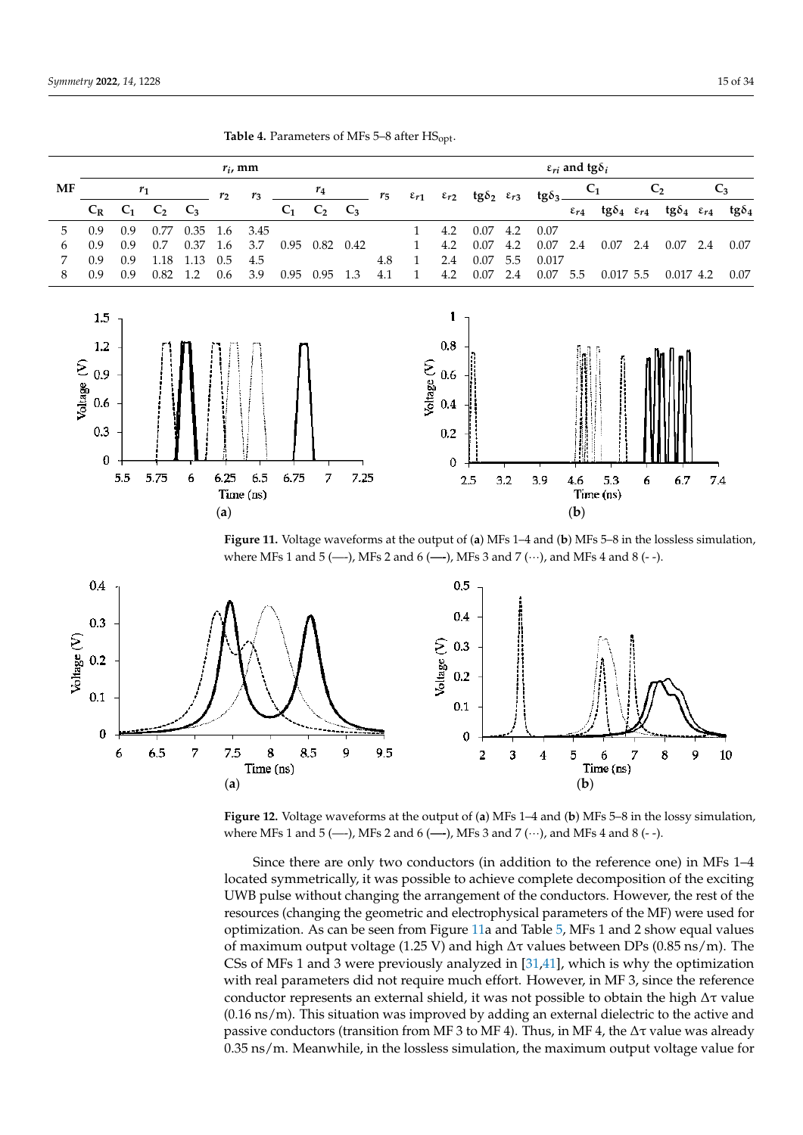**Table 4.** Parameters of MFs 5–8 after HSopt.  $r_i$ , mm  $\epsilon_{ri}$  **and tg** $\delta_i$ *r<sub><i>i*</sub> *c<sub><i>i*</sub> *e<sub><i>i*</sub> *d***<sub>***i***</sub>** *c<sub><i>i*</sub> *d*<sub>*i*</sub> *d*<sub>*i*</sub> *d*<sub>*i*</sub> *d*<sub>*i*</sub> *d* **MF** *r***1** *r***1** *r***4** *r***4** *r***4**  $C_1$  **C**<sub>2</sub> **C**<sub>3</sub>  $C_1$   $C_2$   $C_3$  $r_5$   $\varepsilon_{r1}$   $\varepsilon_{r2}$   $\textrm{tg}\delta_2$   $\varepsilon_{r3}$   $\textrm{tg}\delta_3$ *r***<sup>2</sup>** *r***<sup>3</sup>** *r***<sup>2</sup>** *r***<sup>3</sup>**  $C_1$   $C_2$   $C_3$ *r***<sup>5</sup> ε***r***<sup>1</sup> ε***r***<sup>2</sup> tgδ<sup>2</sup> ε***r***<sup>3</sup> tgδ<sup>3</sup>**  $C_1$   $C_2$   $C_3$   $C_1$   $C_2$   $C_3$   $C_4$   $C_5$   $C_6$   $C_7$   $C_8$   $C_1$   $C_1$   $C_2$   $C_3$   $C_1$   $C_2$   $C_3$   $C_1$   $C_2$   $C_3$  $C_2$  $C_R$   $C_1$   $C_2$   $C_3$   $C_1$   $C_2$   $C_3$   $C_3$   $C_4$  tg $\delta_4$   $\epsilon_{r4}$  tg $\delta_4$   $\epsilon_{r4}$  tg $\delta_4$  $C_1$   $C_2$   $C_3$   $C_1$   $C_2$   $C_3$   $\epsilon_{r4}$  tgo<sub>4</sub>  $\epsilon_{r4}$  tgo<sub>4</sub>  $\epsilon_{r4}$  tgo<sub>4</sub>  $\epsilon_{r4}$  tgo<sub>4</sub> 5 0.9 0.9 0.77 0.35 1.6 3.45 1 4.2 0.07 4.2 0.07 5 0.9 0.9 0.77 0.35 1.6 3.45 1 4.2 0.07 4.2 0.07 5 0.9 0.9 0.77 0.35 1.6 3.45 1 4.2 0.07 4.2 0.07 6 0.9 0.9 0.7 0.37 1.6 3.7 0.95 0.82 0.42 1 4.2 0.07 4.2 0.07 2.4 0.07 2.4 0.07 2.4 0.07 6 0.9 0.9 0.7 0.37 1.6 3.7 0.95 0.82 0.42 1 4.2 0.07 4.2 0.07 2.4 0.07 2.4 0.07 2.4 0.07  $6.9 \quad 0.9 \quad 110 \quad 110 \quad 0.5 \quad 0.5$  0.57 0.32 0.42 1  $1.4 \quad 0.07 \quad \text{E} = 0.017$ <br>0.9 0.9 1.19 1.12 0.5 4.5 7 0.9 0.9 1.18 1.13 0.5 4.5 4.8 1 2.4 0.07 5.5 0.017 7 0.9 0.9 1.18 1.13 0.5 4.5 4.8 4.8 1 2.4 0.07 5.5 0. 0.9 0.9 0.82 1.2 0.6 3.9 0.95 0.95 1.3 4.1 1 4.2 0.07 2.4 0.07 8 0.9 0.9 0.82 1.2 0.6 3.9 0.95 0.95 1.3 4.1 1 4.2 0.07 2.4 0.07 5.5 0.017 5.5 0.017 4.2 0.07 8 0.9 0.9 0.82 1.2 0.6 3.9 0.95 0.95 1.3 4.1 1 4.2 0.07 2.4 0.07 5.5 0.017 5.5 0.017 4.2 0.07  $\mathcal{S} \rightarrow \mathcal{S}$  , and the set of the set of the set of the set of the set of the set of the set of the set of the set of the set of the set of the set of the set of the set of the set of the set of the set of the set of  $\mathbf{1}$  $1.5$ 

<span id="page-14-1"></span>

<span id="page-14-0"></span>**Table 4.** Parameters of MFs 5–8 after  $HS_{opt}$ .  $\frac{4}{3}$  0.95 1.2 0.95 1.2 0.95 1.2  $\frac{4}{3}$  1.2  $\frac{4}{3}$ 

3 0.9 0.9 1.18 1.13 0.5 4.5 4.8 1 2.4 0.07 5.5 0.017

<span id="page-14-2"></span>Figure 11. Voltage waveforms at the output of (a) MFs 1-4 and (b) MFs 5-8 in the lossless simulation, where MFs 1 and 5 (---), MFs 2 and 6 (---), MFs 3 and 7 ( $\cdots$ ), and MFs 4 and 8 (--).



**Figure 12.** Voltage waveforms at the output of (**a**) MFs 1–4 and (**b**) MFs 5–8 in the lossy simulation, where MFs 1 and 5 (—-), MFs 2 and 6 (**—-**), MFs 3 and 7 (···), and MFs 4 and 8 (- -).

Since there are only two conductors (in addition to the reference one) in MFs 1–4 located symmetrically, it was possible to achieve complete decomposition of the exciting UWB pulse without changing the arrangement of the conductors. However, the rest of the resources (changing the geometric and electrophysical parameters of the MF) were used for optimization. As can be seen from Figure [11a](#page-14-1) and Table [5,](#page-15-0) MFs 1 and 2 show equal values of maximum output voltage (1.25 V) and high  $\Delta \tau$  values between DPs (0.85 ns/m). The CSs of MFs 1 and 3 were previously analyzed in [\[31,](#page-32-13)[41\]](#page-33-3), which is why the optimization with real parameters did not require much effort. However, in MF 3, since the reference conductor represents an external shield, it was not possible to obtain the high  $\Delta \tau$  value (0.16 ns/m). This situation was improved by adding an external dielectric to the active and passive conductors (transition from MF 3 to MF 4). Thus, in MF 4, the  $\Delta\tau$  value was already 0.35 ns/m. Meanwhile, in the lossless simulation, the maximum output voltage value for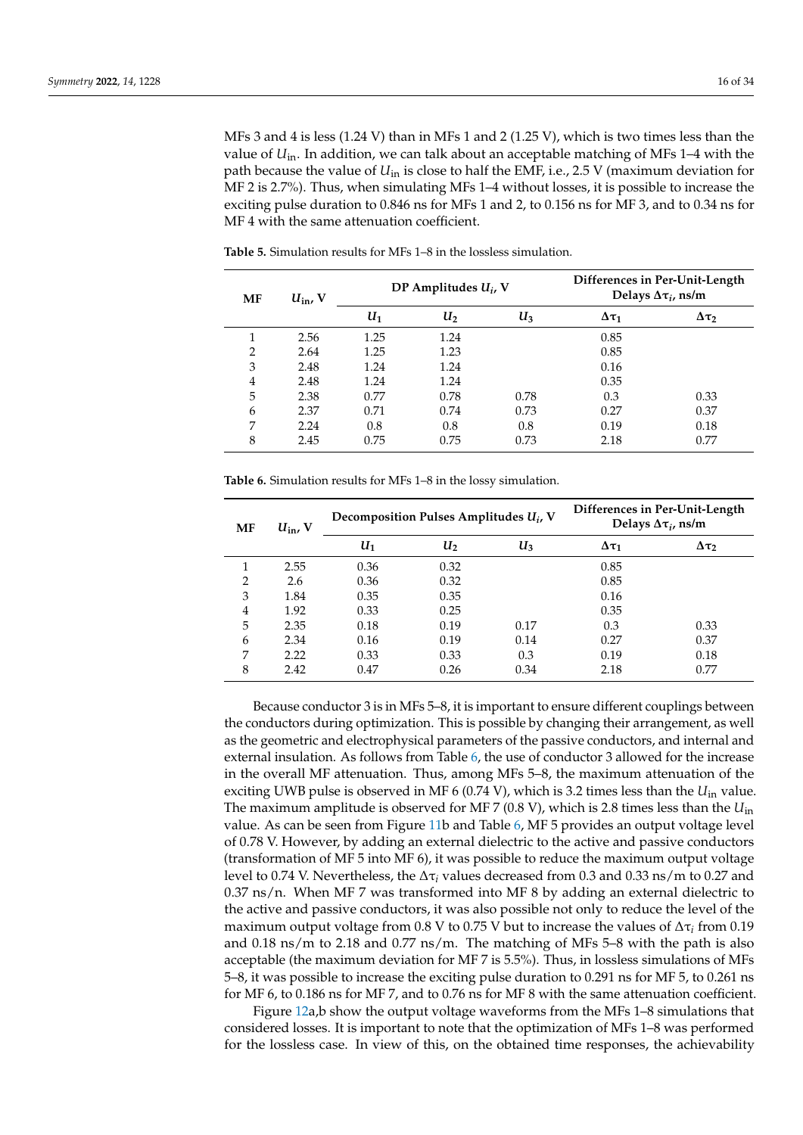MFs 3 and 4 is less (1.24 V) than in MFs 1 and 2 (1.25 V), which is two times less than the value of  $U_{\text{in}}$ . In addition, we can talk about an acceptable matching of MFs 1–4 with the path because the value of *U*in is close to half the EMF, i.e., 2.5 V (maximum deviation for MF 2 is 2.7%). Thus, when simulating MFs 1–4 without losses, it is possible to increase the exciting pulse duration to 0.846 ns for MFs 1 and 2, to 0.156 ns for MF 3, and to 0.34 ns for MF 4 with the same attenuation coefficient.

| MF             | $U_{\rm in}$ , V |       | DP Amplitudes $U_i$ , V |       | Differences in Per-Unit-Length<br>Delays $\Delta\tau_i$ , ns/m |                 |  |  |  |
|----------------|------------------|-------|-------------------------|-------|----------------------------------------------------------------|-----------------|--|--|--|
|                |                  | $U_1$ | $U_2$                   | $U_3$ | $\Delta \tau_1$                                                | $\Delta \tau_2$ |  |  |  |
|                | 2.56             | 1.25  | 1.24                    |       | 0.85                                                           |                 |  |  |  |
| $\overline{2}$ | 2.64             | 1.25  | 1.23                    |       | 0.85                                                           |                 |  |  |  |
| 3              | 2.48             | 1.24  | 1.24                    |       | 0.16                                                           |                 |  |  |  |
| 4              | 2.48             | 1.24  | 1.24                    |       | 0.35                                                           |                 |  |  |  |
| 5              | 2.38             | 0.77  | 0.78                    | 0.78  | 0.3                                                            | 0.33            |  |  |  |
| 6              | 2.37             | 0.71  | 0.74                    | 0.73  | 0.27                                                           | 0.37            |  |  |  |
| 7              | 2.24             | 0.8   | 0.8                     | 0.8   | 0.19                                                           | 0.18            |  |  |  |
| 8              | 2.45             | 0.75  | 0.75                    | 0.73  | 2.18                                                           | 0.77            |  |  |  |

<span id="page-15-0"></span>**Table 5.** Simulation results for MFs 1–8 in the lossless simulation.

<span id="page-15-1"></span>**Table 6.** Simulation results for MFs 1–8 in the lossy simulation.

| MF             | $U_{\text{in}}$ , V |      | Decomposition Pulses Amplitudes $U_i$ , V | Differences in Per-Unit-Length<br>Delays $\Delta\tau_i$ , ns/m |                 |                 |  |
|----------------|---------------------|------|-------------------------------------------|----------------------------------------------------------------|-----------------|-----------------|--|
|                |                     | U1   | U <sub>2</sub>                            | $U_3$                                                          | $\Delta \tau_1$ | $\Delta \tau_2$ |  |
| 1              | 2.55                | 0.36 | 0.32                                      |                                                                | 0.85            |                 |  |
| $\overline{2}$ | 2.6                 | 0.36 | 0.32                                      |                                                                | 0.85            |                 |  |
| 3              | 1.84                | 0.35 | 0.35                                      |                                                                | 0.16            |                 |  |
| 4              | 1.92                | 0.33 | 0.25                                      |                                                                | 0.35            |                 |  |
| 5              | 2.35                | 0.18 | 0.19                                      | 0.17                                                           | 0.3             | 0.33            |  |
| 6              | 2.34                | 0.16 | 0.19                                      | 0.14                                                           | 0.27            | 0.37            |  |
| 7              | 2.22                | 0.33 | 0.33                                      | 0.3                                                            | 0.19            | 0.18            |  |
| 8              | 2.42                | 0.47 | 0.26                                      | 0.34                                                           | 2.18            | 0.77            |  |

Because conductor 3 is in MFs 5–8, it is important to ensure different couplings between the conductors during optimization. This is possible by changing their arrangement, as well as the geometric and electrophysical parameters of the passive conductors, and internal and external insulation. As follows from Table [6,](#page-15-1) the use of conductor 3 allowed for the increase in the overall MF attenuation. Thus, among MFs 5–8, the maximum attenuation of the exciting UWB pulse is observed in MF 6 (0.74 V), which is 3.2 times less than the *U*in value. The maximum amplitude is observed for MF 7 (0.8 V), which is 2.8 times less than the *U*in value. As can be seen from Figure [11b](#page-14-1) and Table [6,](#page-15-1) MF 5 provides an output voltage level of 0.78 V. However, by adding an external dielectric to the active and passive conductors (transformation of MF 5 into MF 6), it was possible to reduce the maximum output voltage level to 0.74 V. Nevertheless, the ∆τ*<sup>i</sup>* values decreased from 0.3 and 0.33 ns/m to 0.27 and 0.37 ns/n. When MF 7 was transformed into MF 8 by adding an external dielectric to the active and passive conductors, it was also possible not only to reduce the level of the maximum output voltage from 0.8 V to 0.75 V but to increase the values of ∆τ*<sup>i</sup>* from 0.19 and 0.18 ns/m to 2.18 and 0.77 ns/m. The matching of MFs 5–8 with the path is also acceptable (the maximum deviation for MF 7 is 5.5%). Thus, in lossless simulations of MFs 5–8, it was possible to increase the exciting pulse duration to 0.291 ns for MF 5, to 0.261 ns for MF 6, to 0.186 ns for MF 7, and to 0.76 ns for MF 8 with the same attenuation coefficient.

Figure [12a](#page-14-2),b show the output voltage waveforms from the MFs 1–8 simulations that considered losses. It is important to note that the optimization of MFs 1–8 was performed for the lossless case. In view of this, on the obtained time responses, the achievability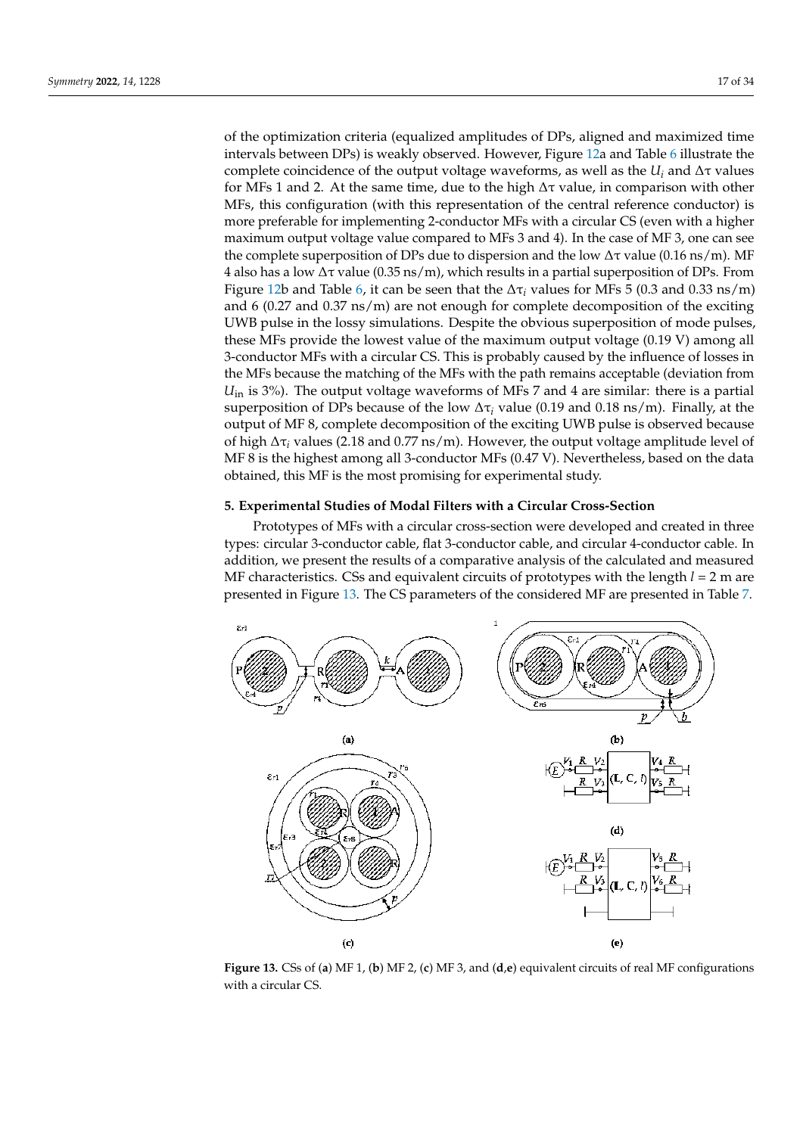of the optimization criteria (equalized amplitudes of DPs, aligned and maximized time intervals between DPs) is weakly observed. However, Figure [12a](#page-14-2) and Table [6](#page-15-1) illustrate the complete coincidence of the output voltage waveforms, as well as the  $U_i$  and  $\Delta \tau$  values for MFs 1 and 2. At the same time, due to the high  $\Delta \tau$  value, in comparison with other MFs, this configuration (with this representation of the central reference conductor) is more preferable for implementing 2-conductor MFs with a circular CS (even with a higher maximum output voltage value compared to MFs 3 and 4). In the case of MF 3, one can see the complete superposition of DPs due to dispersion and the low  $Δτ$  value (0.16 ns/m). MF 4 also has a low  $\Delta \tau$  value (0.35 ns/m), which results in a partial superposition of DPs. From Figure [12b](#page-14-2) and Table [6,](#page-15-1) it can be seen that the  $\Delta\tau_i$  values for MFs 5 (0.3 and 0.33 ns/m) and 6 (0.27 and 0.37 ns/m) are not enough for complete decomposition of the exciting UWB pulse in the lossy simulations. Despite the obvious superposition of mode pulses, these MFs provide the lowest value of the maximum output voltage (0.19 V) among all 3-conductor MFs with a circular CS. This is probably caused by the influence of losses in the MFs because the matching of the MFs with the path remains acceptable (deviation from *U*<sub>in</sub> is 3%). The output voltage waveforms of MFs 7 and 4 are similar: there is a partial superposition of DPs because of the low ∆τ*<sup>i</sup>* value (0.19 and 0.18 ns/m). Finally, at the output of MF 8, complete decomposition of the exciting UWB pulse is observed because of high ∆τ*<sup>i</sup>* values (2.18 and 0.77 ns/m). However, the output voltage amplitude level of MF 8 is the highest among all 3-conductor MFs (0.47 V). Nevertheless, based on the data obtained, this MF is the most promising for experimental study.

## <span id="page-16-0"></span>**5. Experimental Studies of Modal Filters with a Circular Cross-Section**

Prototypes of MFs with a circular cross-section were developed and created in three types: circular 3-conductor cable, flat 3-conductor cable, and circular 4-conductor cable. In addition, we present the results of a comparative analysis of the calculated and measured MF characteristics. CSs and equivalent circuits of prototypes with the length *l* = 2 m are presented in Figure [13.](#page-16-1) The CS parameters of the considered MF are presented in Table [7.](#page-17-0)

<span id="page-16-1"></span>

**Figure 13.** CSs of (**a**) MF 1, (**b**) MF 2, (**c**) MF 3, and (**d**,**e**) equivalent circuits of real MF configurations with a circular CS.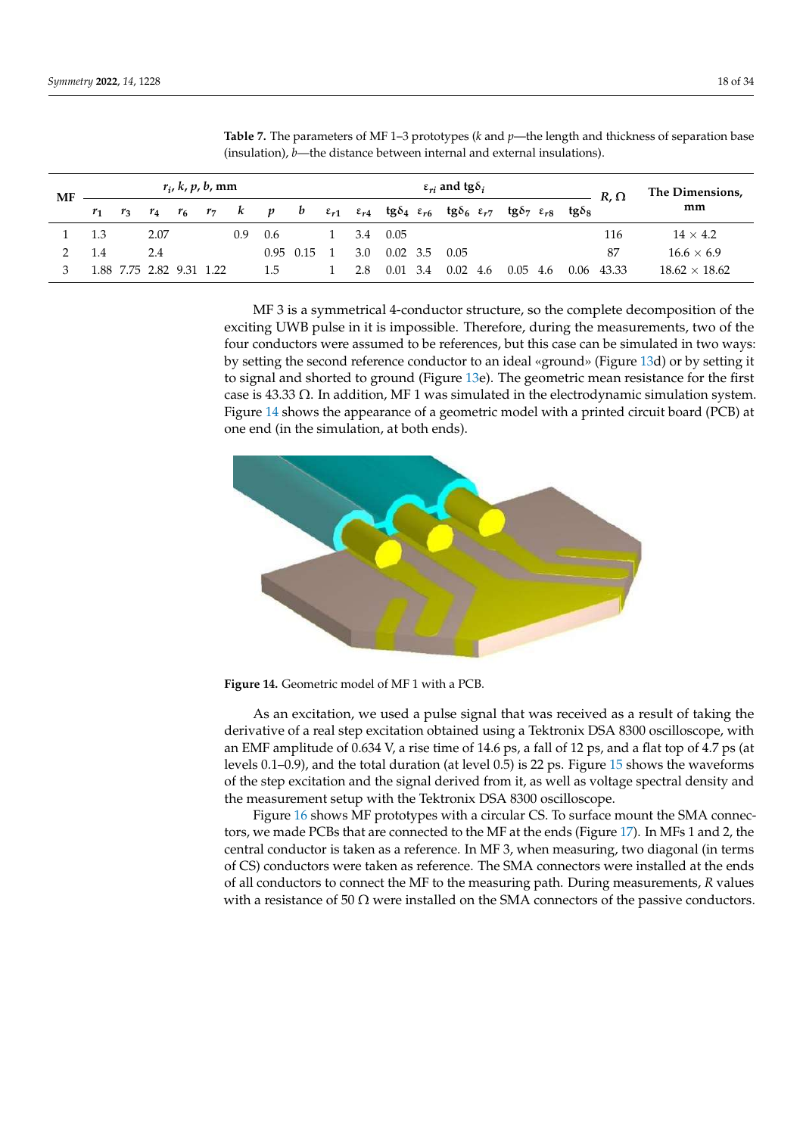| <b>MF</b> |       | $r_i$ , k, p, b, mm      |      |  |  |     |     |             | $\varepsilon_{ri}$ and tg $\delta_i$ |                  |       |                  |  |                                                                                                                                                                                |  | $R, \Omega$ | The Dimensions,      |
|-----------|-------|--------------------------|------|--|--|-----|-----|-------------|--------------------------------------|------------------|-------|------------------|--|--------------------------------------------------------------------------------------------------------------------------------------------------------------------------------|--|-------------|----------------------|
|           | $r_1$ | $r_3$                    |      |  |  |     |     |             |                                      |                  |       |                  |  | $r_4$ $r_6$ $r_7$ k p b $\varepsilon_{r1}$ $\varepsilon_{r4}$ tg $\delta_4$ $\varepsilon_{r6}$ tg $\delta_6$ $\varepsilon_{r7}$ tg $\delta_7$ $\varepsilon_{r8}$ tg $\delta_8$ |  |             | mm                   |
|           | 1.3   |                          | 2.07 |  |  | 0.9 | 0.6 |             |                                      | 3.4 0.05         |       |                  |  |                                                                                                                                                                                |  | 116         | $14 \times 4.2$      |
|           | 1.4   |                          | 2.4  |  |  |     |     | $0.95$ 0.15 | 3.0                                  | $0.02 \quad 3.5$ |       | 0.05             |  |                                                                                                                                                                                |  | 87          | $16.6 \times 6.9$    |
|           |       | 1.88 7.75 2.82 9.31 1.22 |      |  |  |     | 1.5 |             | 2.8                                  | 0.01             | - 3.4 | $0.02 \quad 4.6$ |  | 0.05<br>4.6                                                                                                                                                                    |  | 0.06 43.33  | $18.62 \times 18.62$ |

<span id="page-17-0"></span>**Table 7.** The parameters of MF 1–3 prototypes (*k* and *p*—the length and thickness of separation base (insulation), *b*—the distance between internal and external insulations).

MF 3 is a symmetrical 4-conductor structure, so the complete decomposition of the exciting UWB pulse in it is impossible. Therefore, during the measurements, two of the four conductors were assumed to be references, but this case can be simulated in two ways: by setting the second reference conductor to an ideal «ground» (Figure [13d](#page-16-1)) or by setting it (**c**) (**e**) to signal and shorted to ground (Figure [13e](#page-16-1)). The geometric mean resistance for the first case is  $43.33 \Omega$ . In addition, MF 1 was simulated in the electrodynamic simulation system. Figure [14](#page-17-1) shows the appearance of a geometric model with a printed circuit board (PCB) at righter in shows the uppendince of a geometric order

<span id="page-17-1"></span>

**Figure 14.** Geometric model of MF 1 with a PCB. **Figure 14.** Geometric model of MF 1 with a PCB.

derivative of a real step excitation obtained using a Tektronix DSA 8300 oscilloscope, with<br>an EME emplitude of 0.624 V a rice time of 14.6 pc a fall of 12 pc and a flat top of 4.7 pc (ot levels 0.1–0.9), and the total duration (at level 0.5) is 22 ps. Figure 15 shows the waveforms As an excitation, we used a pulse signal that was received as a result of taking the an EMF amplitude of 0.634 V, a rise time of 14.6 ps, a fall of 12 ps, and a flat top of 4.7 ps (at of the step excitation and the signal derived from it, as well as voltage spectral density and the measurement setup with the Tektronix DSA 8300 oscilloscope.

Figure [16](#page-18-1) shows MF prototypes with a circular CS. To surface mount the SMA connectors, we made PCBs that are connected to the MF at the ends (Figure [17\)](#page-19-0). In MFs 1 and 2, the central conductor is taken as a reference. In MF 3, when measuring, two diagonal (in terms of CS) conductors were taken as reference. The SMA connectors were installed at the ends of all conductors to connect the MF to the measuring path. During measurements, *R* values with a resistance of 50  $\Omega$  were installed on the SMA connectors of the passive conductors.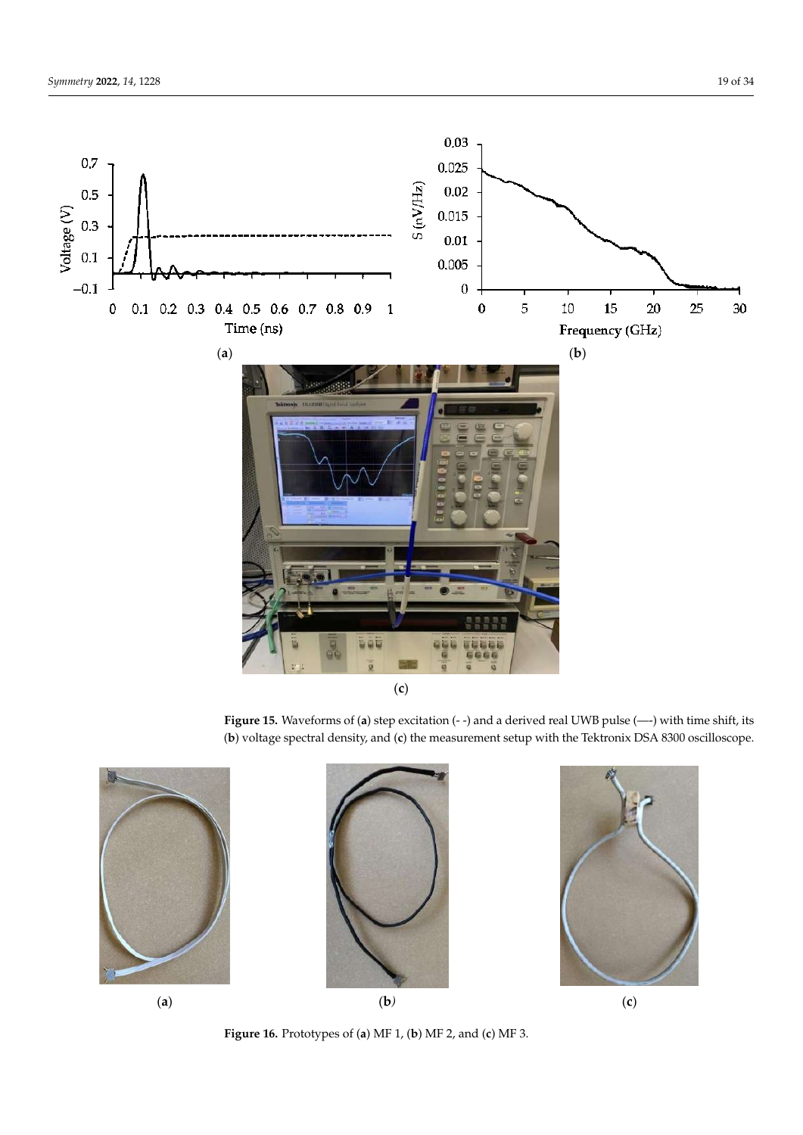<span id="page-18-0"></span>

Figure 15. Waveforms of (a) step excitation (--) and a derived real UWB pulse (--) with time shift, its its (**b**) voltage spectral density, and (**c**) the measurement setup with the Tektronix DSA 8300 (**b**) voltage spectral density, and (**c**) the measurement setup with the Tektronix DSA 8300 oscilloscope.





<span id="page-18-1"></span> $\mathcal{F}_{\mathcal{A}}$  shows MF prototypes with a circular CS. To surface mount the SMA  $\epsilon$  are connected to the MFs 17). In MFs 17, the ends (Figure 17). In MFs 17, the ends (Figure 17). In MFs 17 and 2, the central conductor is taken as a reference. In MF  $3, \mu$  $\mathcal{N}$  conductors were taken as reference. The SMA connectors were taken as reference. The SMA connectors were taken as reference. The SMA connection  $\mathcal{N}$ installed at the ends of all conductors to conductors to conductors the MF to the MF to the measuring path. During path. During path. During path. During path. During path. During path. During path. During path. During pa measurements, *R* values with a resistance of 50 Ω were installed on the SMA connectors

**Figure 16.** Prototypes of (**a**) MF 1, (**b**) MF 2, and (**c**) MF 3. **Figure 16.** Prototypes of (**a**) MF 1, (**b**) MF 2, and (**c**) MF 3.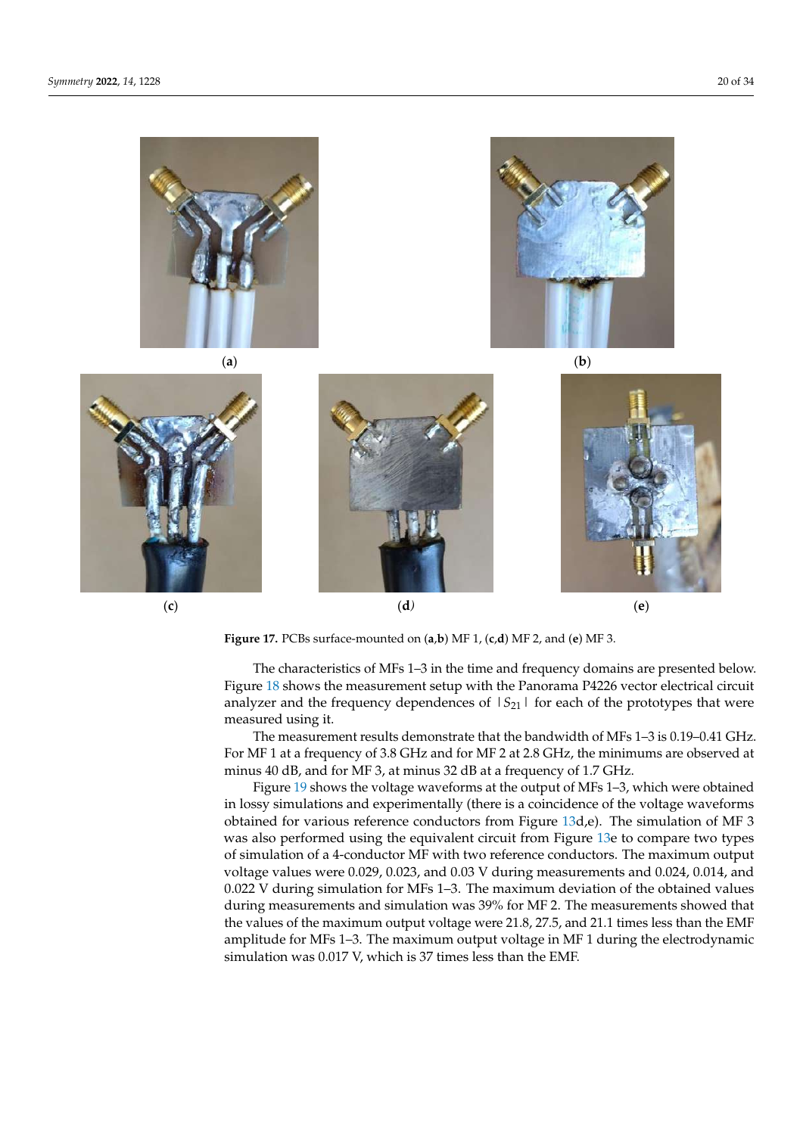<span id="page-19-0"></span>

Figure 17. PCBs surface-mounted on (a,b) MF 1, (c,d) MF 2, and (e) MF 3.

The characteristics of MFs 1-3 in the time and frequency domains are presented below. Figure [18](#page-20-0) shows the measurement setup with the Panorama P4226 vector electrical circuit analyzer and the frequency dependences of  $|S_{21}|$  for each of the prototypes that were measured using it.

The measurement results demonstrate that the bandwidth of MFs 1–3 is 0.19–0.41 GHz. For MF 1 at a frequency of 3.8 GHz and for MF 2 at 2.8 GHz, the minimums are observed at minus 40 dB, and for MF 3, at minus 32 dB at a frequency of 1.7 GHz.

Figure [19](#page-21-0) shows the voltage waveforms at the output of MFs 1–3, which were obtained in lossy simulations and experimentally (there is a coincidence of the voltage waveforms obtained for various reference conductors from Figure [13d](#page-16-1),e). The simulation of MF 3 was also performed using the equivalent circuit from Figure [13e](#page-16-1) to compare two types of simulation of a 4-conductor MF with two reference conductors. The maximum output voltage values were 0.029, 0.023, and 0.03 V during measurements and 0.024, 0.014, and 0.022 V during simulation for MFs 1–3. The maximum deviation of the obtained values during measurements and simulation was 39% for MF 2. The measurements showed that the values of the maximum output voltage were 21.8, 27.5, and 21.1 times less than the EMF amplitude for MFs 1–3. The maximum output voltage in MF 1 during the electrodynamic simulation was 0.017 V, which is 37 times less than the EMF.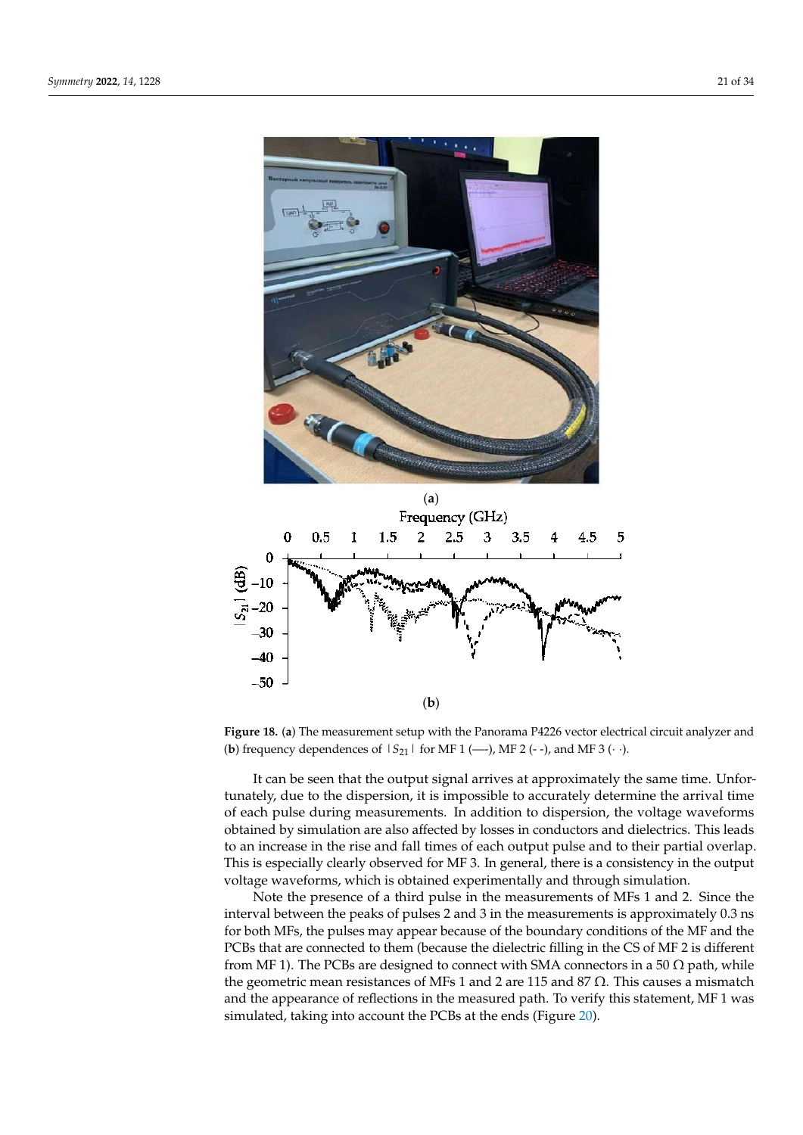<span id="page-20-0"></span>

**Figure 18.** (**a**) The measurement setup with the Panorama P4226 vector electrical circuit analyzer **Figure 18.** (**a**) The measurement setup with the Panorama P4226 vector electrical circuit analyzer and (**b**) frequency dependences of  $|S_{21}|$  for MF 1 (---), MF 2 (--), and MF 3 (··).

It can be seen that the output signal arrives at approximately the same time. Unfortunately, due to the dispersion, it is impossible to accurately determine the arrival time of each pulse during measurements. In addition to dispersion, the voltage waveforms obtained by simulation are also affected by losses in conductors and dielectrics. This leads to an increase in the rise and fall times of each output pulse and to their partial overlap. This is especially clearly observed for MF 3. In general, there is a consistency in the output voltage waveforms, which is obtained experimentally and through simulation.

Note the presence of a third pulse in the measurements of MFs 1 and 2. Since the interval between the peaks of pulses 2 and 3 in the measurements is approximately 0.3 ns for both MFs, the pulses may appear because of the boundary conditions of the MF and the PCBs that are connected to them (because the dielectric filling in the CS of MF 2 is different from MF 1). The PCBs are designed to connect with SMA connectors in a 50  $\Omega$  path, while the geometric mean resistances of MFs 1 and 2 are 115 and 87  $\Omega$ . This causes a mismatch and the appearance of reflections in the measured path. To verify this statement, MF 1 was simulated, taking into account the PCBs at the ends (Figure 20).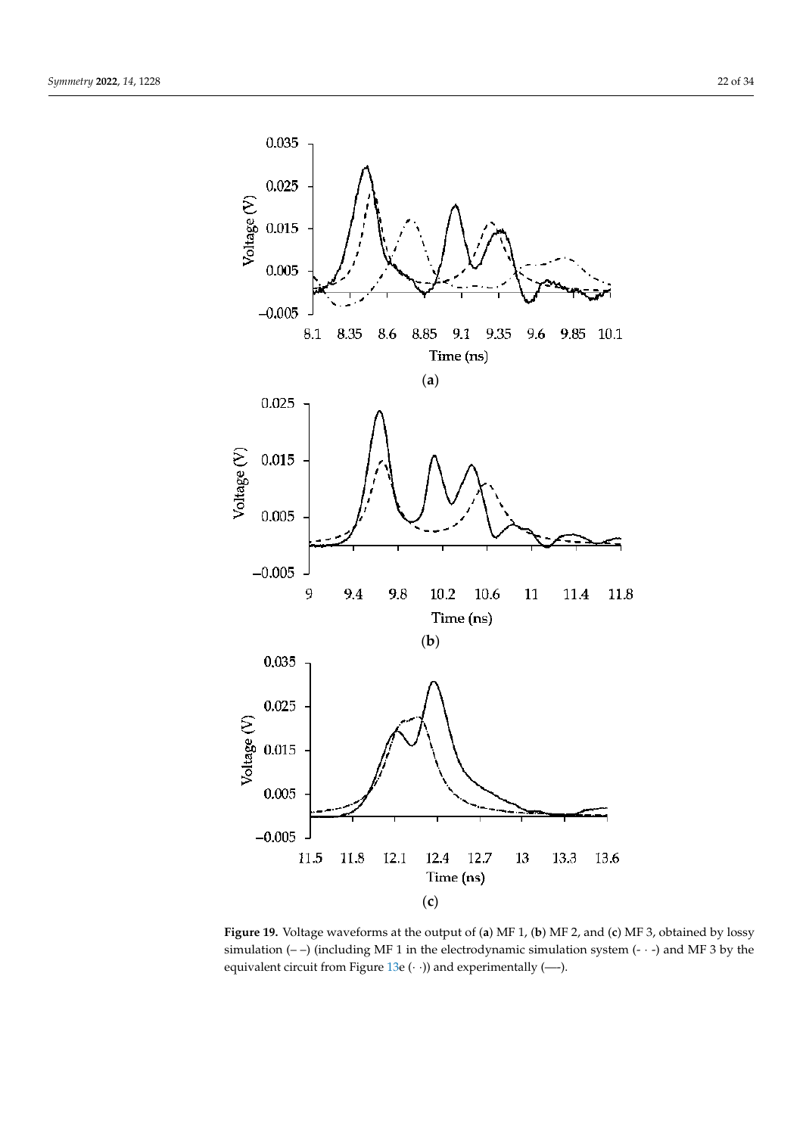<span id="page-21-0"></span>

Figure 19. Voltage waveforms at the output of (a) MF 1, (b) MF 2, and (c) MF 3, obtained by lossy simulation  $(-)$  (including MF 1 in the electrodynamic simulation system  $(-)$  and MF 3 by the equivalent circuit from Figure [13e](#page-16-1) (· ·)) and experimentally (---).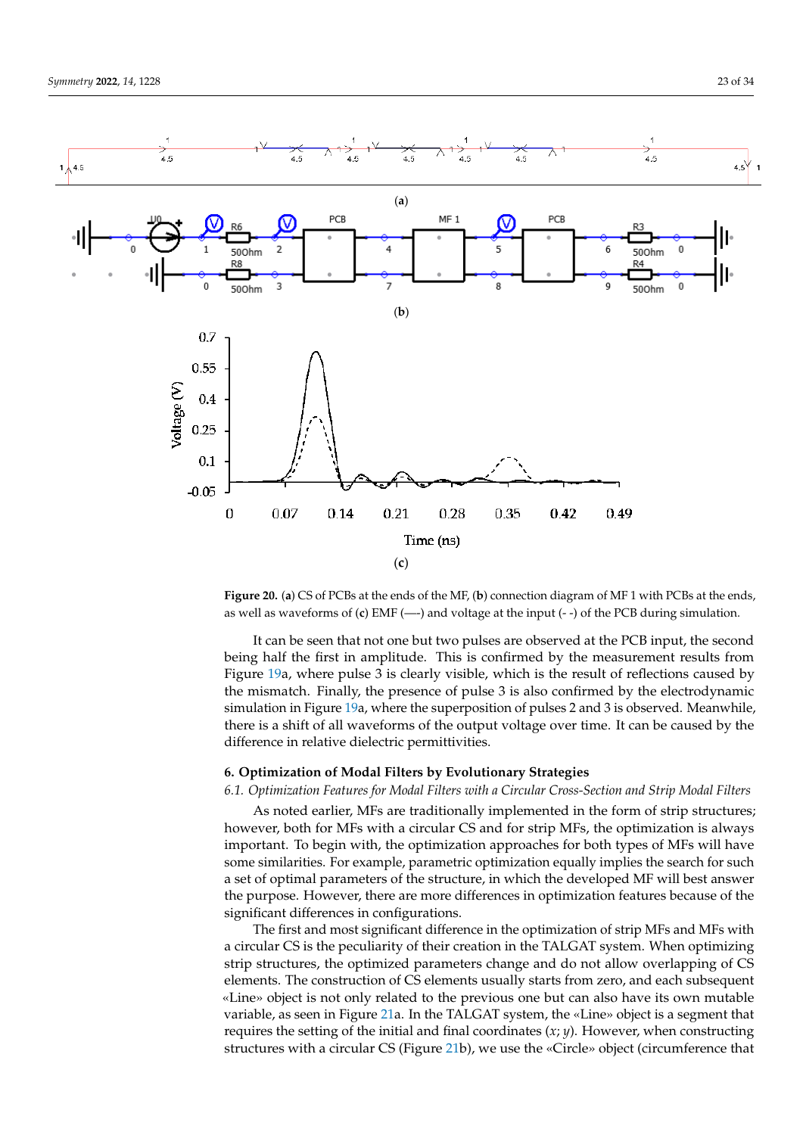<span id="page-22-1"></span>

Figure 20. (a) CS of PCBs at the ends of the MF, (b) connection diagram of MF 1 with PCBs at the ends, ends as well as well as well as well as well as well as well as well as the internet of the PCB during the internet of the internet of  $\ell$ .) EMF ( $\ell$ ) and  $\ell$  during the PCB during the internet of the PCB during the int as well as waveforms of (**c**) EMF (—-) and voltage at the input (- -) of the PCB during simulation.

being half the first in amplitude. This is confirmed by the measurement results from Figure [19a](#page-21-0), where pulse  $\overline{3}$  is clearly visible, which is the result of reflections caused by the mismatch. Finally, the presence of pulse 3 is also confirmed by the electrodynamic simulation in Figure [19a](#page-21-0), where the superposition of pulses 2 and 3 is observed. Meanwhile, there is a shift of all waveforms of the output voltage over time. It can be caused by the difference in relative dielectric permittivities. It can be seen that not one but two pulses are observed at the PCB input, the second

## <span id="page-22-0"></span>**6. Optimization of Modal Filters by Evolutionary Strategies**

# 6.1. Optimization Features for Modal Filters with a Circular Cross-Section and Strip Modal Filters

As noted earlier, MFs are traditionally implemented in the form of strip structures; however, both for MFs with a circular CS and for strip MFs, the optimization is always important. To begin with, the optimization approaches for both types of MFs will have some similarities. For example, parametric optimization equally implies the search for such a set of optimal parameters of the structure, in which the developed MF will best answer the purpose. However, there are more differences in optimization features because of the significant differences in configurations.

The first and most significant difference in the optimization of strip MFs and MFs with  $\frac{1}{2}$ a circular CS is the peculiarity of their creation in the TALGAT system. When optimizing strip structures, the optimized parameters change and do not allow overlapping of CS elements. The construction of CS elements usually starts from zero, and each subsequent «Line» object is not only related to the previous one but can also have its own mutable variable, as seen in Figure [21a](#page-23-0). In the TALGAT system, the «Line» object is a segment that requires the setting of the initial and final coordinates (*x*; *y*). However, when constructing structures with a circular CS (Figure [21b](#page-23-0)), we use the «Circle» object (circumference that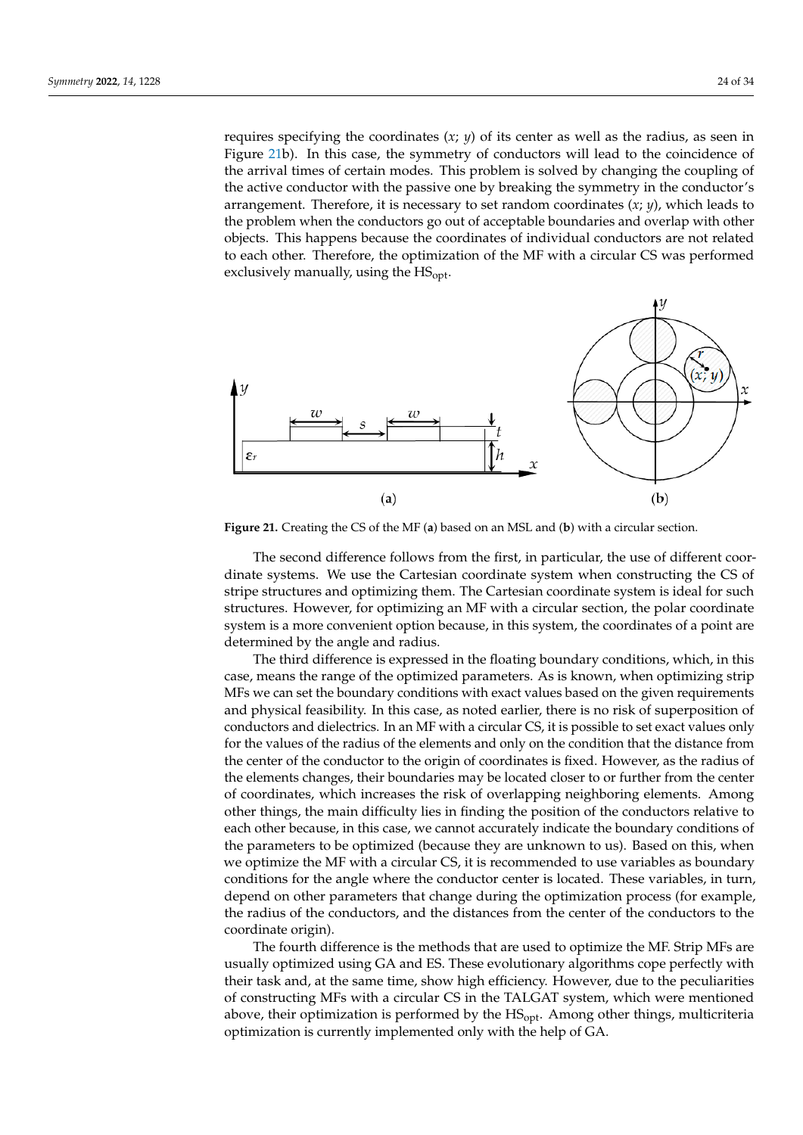requires specifying the coordinates (*x*; *y*) of its center as well as the radius, as seen in Figure [21b](#page-23-0)). In this case, the symmetry of conductors will lead to the coincidence of the arrival times of certain modes. This problem is solved by changing the coupling of the active conductor with the passive one by breaking the symmetry in the conductor's arrangement. Therefore, it is necessary to set random coordinates (*x*; *y*), which leads to the problem when the conductors go out of acceptable boundaries and overlap with other objects. This happens because the coordinates of individual conductors are not related to each other. Therefore, the optimization of the MF with a circular CS was performed exclusively manually, using the  $HS<sub>opt</sub>$ .

<span id="page-23-0"></span>

**Figure 21.** Creating the CS of the MF (**a**) based on an MSL and (**b**) with a circular section.

The second difference follows from the first, in particular, the use of different coordinate systems. We use the Cartesian coordinate system when constructing the CS of stripe structures and optimizing them. The Cartesian coordinate system is ideal for such structures. However, for optimizing an MF with a circular section, the polar coordinate system is a more convenient option because, in this system, the coordinates of a point are determined by the angle and radius.

The third difference is expressed in the floating boundary conditions, which, in this case, means the range of the optimized parameters. As is known, when optimizing strip MFs we can set the boundary conditions with exact values based on the given requirements and physical feasibility. In this case, as noted earlier, there is no risk of superposition of conductors and dielectrics. In an MF with a circular CS, it is possible to set exact values only for the values of the radius of the elements and only on the condition that the distance from the center of the conductor to the origin of coordinates is fixed. However, as the radius of the elements changes, their boundaries may be located closer to or further from the center of coordinates, which increases the risk of overlapping neighboring elements. Among other things, the main difficulty lies in finding the position of the conductors relative to each other because, in this case, we cannot accurately indicate the boundary conditions of the parameters to be optimized (because they are unknown to us). Based on this, when we optimize the MF with a circular CS, it is recommended to use variables as boundary conditions for the angle where the conductor center is located. These variables, in turn, depend on other parameters that change during the optimization process (for example, the radius of the conductors, and the distances from the center of the conductors to the coordinate origin).

The fourth difference is the methods that are used to optimize the MF. Strip MFs are usually optimized using GA and ES. These evolutionary algorithms cope perfectly with their task and, at the same time, show high efficiency. However, due to the peculiarities of constructing MFs with a circular CS in the TALGAT system, which were mentioned above, their optimization is performed by the HSopt. Among other things, multicriteria optimization is currently implemented only with the help of GA.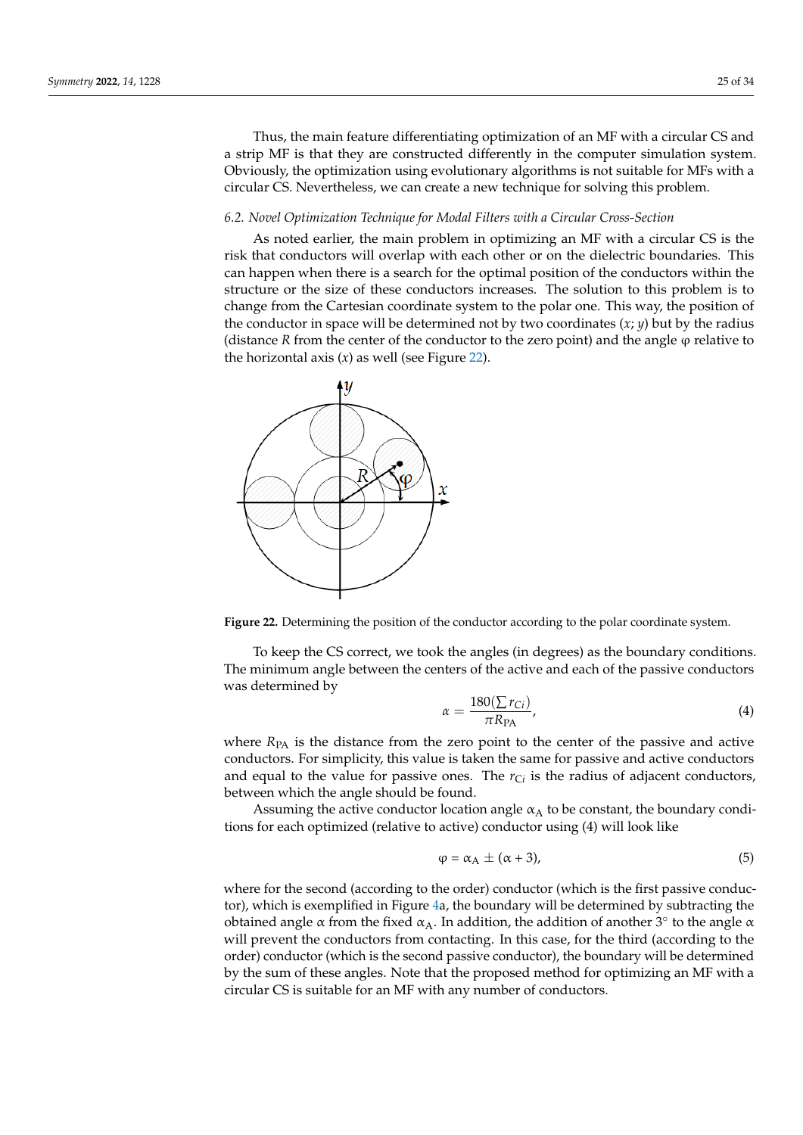Thus, the main feature differentiating optimization of an MF with a circular CS and a strip MF is that they are constructed differently in the computer simulation system. Obviously, the optimization using evolutionary algorithms is not suitable for MFs with a circular CS. Nevertheless, we can create a new technique for solving this problem.

#### <span id="page-24-1"></span>*6.2. Novel Optimization Technique for Modal Filters with a Circular Cross-Section*

As noted earlier, the main problem in optimizing an MF with a circular CS is the risk that conductors will overlap with each other or on the dielectric boundaries. This can happen when there is a search for the optimal position of the conductors within the structure or the size of these conductors increases. The solution to this problem is to change from the Cartesian coordinate system to the polar one. This way, the position of the conductor in space will be determined not by two coordinates (*x*; *y*) but by the radius (distance  *from the center of the conductor to the zero point) and the angle*  $\varphi$  *relative to* the horizontal axis (*x*) as well (see Figure [22\)](#page-24-0).

<span id="page-24-0"></span>

**Figure 22.** Determining the position of the conductor according to the polar coordinate system.

To keep the CS correct, we took the angles (in degrees) as the boundary conditions. The minimum angle between the centers of the active and each of the passive conductors was determined by

$$
\alpha = \frac{180(\sum r_{Ci})}{\pi R_{\text{PA}}},\tag{4}
$$

where  $R_{PA}$  is the distance from the zero point to the center of the passive and active conductors. For simplicity, this value is taken the same for passive and active conductors and equal to the value for passive ones. The  $r_{Ci}$  is the radius of adjacent conductors, between which the angle should be found.

Assuming the active conductor location angle  $\alpha_A$  to be constant, the boundary conditions for each optimized (relative to active) conductor using (4) will look like

$$
\varphi = \alpha_A \pm (\alpha + 3), \tag{5}
$$

where for the second (according to the order) conductor (which is the first passive conductor), which is exemplified in Figure [4a](#page-5-1), the boundary will be determined by subtracting the obtained angle  $\alpha$  from the fixed  $\alpha_A$ . In addition, the addition of another 3° to the angle  $\alpha$ will prevent the conductors from contacting. In this case, for the third (according to the order) conductor (which is the second passive conductor), the boundary will be determined by the sum of these angles. Note that the proposed method for optimizing an MF with a circular CS is suitable for an MF with any number of conductors.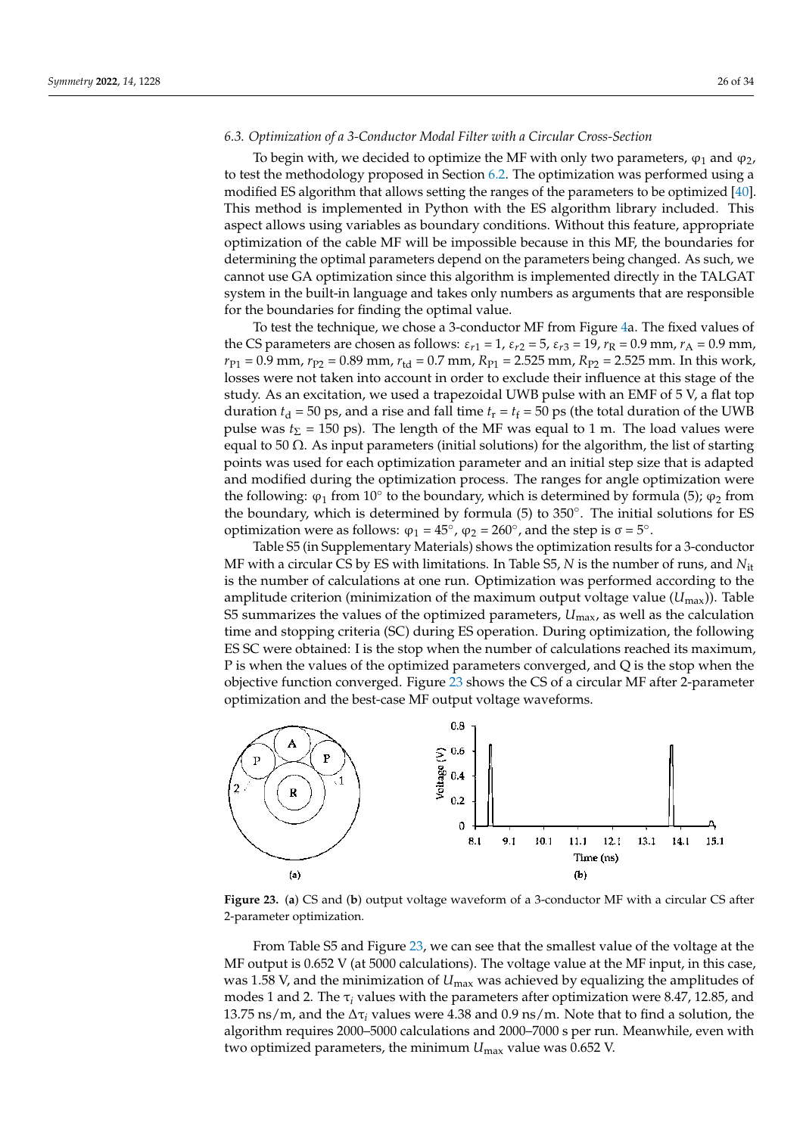#### <span id="page-25-1"></span>*6.3. Optimization of a 3-Conductor Modal Filter with a Circular Cross-Section*

To begin with, we decided to optimize the MF with only two parameters,  $\varphi_1$  and  $\varphi_2$ , to test the methodology proposed in Section [6.2.](#page-24-1) The optimization was performed using a modified ES algorithm that allows setting the ranges of the parameters to be optimized [\[40\]](#page-33-2). This method is implemented in Python with the ES algorithm library included. This aspect allows using variables as boundary conditions. Without this feature, appropriate optimization of the cable MF will be impossible because in this MF, the boundaries for determining the optimal parameters depend on the parameters being changed. As such, we cannot use GA optimization since this algorithm is implemented directly in the TALGAT system in the built-in language and takes only numbers as arguments that are responsible for the boundaries for finding the optimal value.

To test the technique, we chose a 3-conductor MF from Figure [4a](#page-5-1). The fixed values of the CS parameters are chosen as follows:  $ε_{r1} = 1$ ,  $ε_{r2} = 5$ ,  $ε_{r3} = 19$ ,  $r_R = 0.9$  mm,  $r_A = 0.9$  mm,  $r_{P1} = 0.9$  mm,  $r_{P2} = 0.89$  mm,  $r_{td} = 0.7$  mm,  $R_{P1} = 2.525$  mm,  $R_{P2} = 2.525$  mm. In this work, losses were not taken into account in order to exclude their influence at this stage of the study. As an excitation, we used a trapezoidal UWB pulse with an EMF of 5 V, a flat top duration  $t_d$  = 50 ps, and a rise and fall time  $t_r = t_f = 50$  ps (the total duration of the UWB pulse was  $t_{\Sigma}$  = 150 ps). The length of the MF was equal to 1 m. The load values were equal to 50  $\Omega$ . As input parameters (initial solutions) for the algorithm, the list of starting points was used for each optimization parameter and an initial step size that is adapted and modified during the optimization process. The ranges for angle optimization were the following:  $\varphi_1$  from 10 $\degree$  to the boundary, which is determined by formula (5);  $\varphi_2$  from the boundary, which is determined by formula (5) to 350°. The initial solutions for ES optimization were as follows:  $\varphi_1 = 45^\circ$ ,  $\varphi_2 = 260^\circ$ , and the step is  $\sigma = 5^\circ$ .

Table S5 (in Supplementary Materials) shows the optimization results for a 3-conductor MF with a circular CS by ES with limitations. In Table S5, *N* is the number of runs, and *N*it is the number of calculations at one run. Optimization was performed according to the amplitude criterion (minimization of the maximum output voltage value  $(U_{\text{max}})$ ). Table S5 summarizes the values of the optimized parameters, *U*max, as well as the calculation time and stopping criteria (SC) during ES operation. During optimization, the following ES SC were obtained: I is the stop when the number of calculations reached its maximum, P is when the values of the optimized parameters converged, and Q is the stop when the objective function converged. Figure [23](#page-25-0) shows the CS of a circular MF after 2-parameter optimization and the best-case MF output voltage waveforms.

<span id="page-25-0"></span>

**Figure 23.** (**a**) CS and (**b**) output voltage waveform of a 3-conductor MF with a circular CS after 2-parameter optimization.

From Table S5 and Figure [23,](#page-25-0) we can see that the smallest value of the voltage at the MF output is 0.652 V (at 5000 calculations). The voltage value at the MF input, in this case, was 1.58 V, and the minimization of *U*max was achieved by equalizing the amplitudes of modes 1 and 2. The  $\tau_i$  values with the parameters after optimization were 8.47, 12.85, and 13.75 ns/m, and the ∆τ*<sup>i</sup>* values were 4.38 and 0.9 ns/m. Note that to find a solution, the algorithm requires 2000–5000 calculations and 2000–7000 s per run. Meanwhile, even with two optimized parameters, the minimum *U*max value was 0.652 V.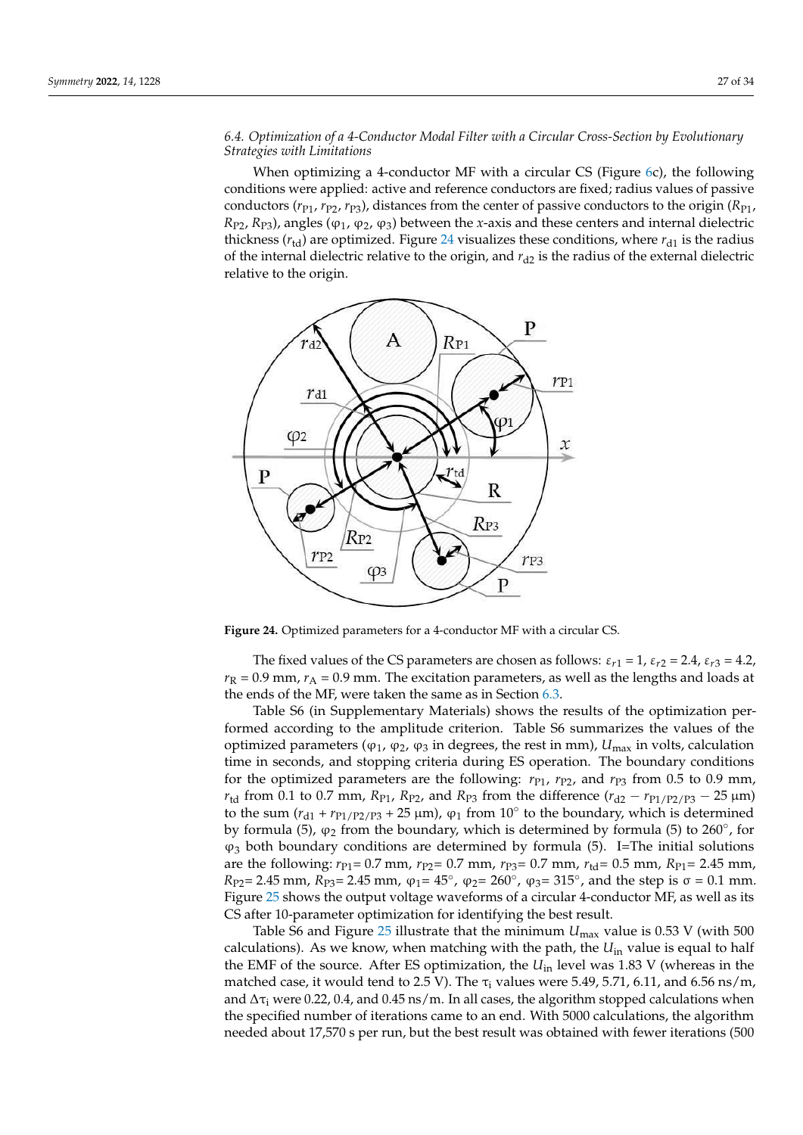# *6.4. Optimization of a 4-Conductor Modal Filter with a Circular Cross-Section by Evolutionary Strategies with Limitations*

When optimizing a 4-conductor MF with a circular CS (Figure [6c](#page-7-2)), the following conditions were applied: active and reference conductors are fixed; radius values of passive conductors ( $r_{P1}$ ,  $r_{P2}$ ,  $r_{P3}$ ), distances from the center of passive conductors to the origin ( $R_{P1}$ ,  $R_{P2}$ ,  $R_{P3}$ ), angles ( $\varphi_1$ ,  $\varphi_2$ ,  $\varphi_3$ ) between the *x*-axis and these centers and internal dielectric thickness ( $r_{td}$ ) are optimized. Figure [24](#page-26-0) visualizes these conditions, where  $r_{d1}$  is the radius of the internal dielectric relative to the origin, and  $r_{d2}$  is the radius of the external dielectric relative to the origin.

<span id="page-26-0"></span>

**Figure 24.** Optimized parameters for a 4-conductor MF with a circular CS.

The fixed values of the CS parameters are chosen as follows:  $\varepsilon_{r1} = 1$ ,  $\varepsilon_{r2} = 2.4$ ,  $\varepsilon_{r3} = 4.2$ ,  $r_R$  = 0.9 mm,  $r_A$  = 0.9 mm. The excitation parameters, as well as the lengths and loads at the ends of the MF, were taken the same as in Section [6.3.](#page-25-1)

Table S6 (in Supplementary Materials) shows the results of the optimization performed according to the amplitude criterion. Table S6 summarizes the values of the optimized parameters ( $φ_1$ ,  $φ_2$ ,  $φ_3$  in degrees, the rest in mm),  $U_{\text{max}}$  in volts, calculation time in seconds, and stopping criteria during ES operation. The boundary conditions for the optimized parameters are the following:  $r_{P1}$ ,  $r_{P2}$ , and  $r_{P3}$  from 0.5 to 0.9 mm, *r*<sub>td</sub> from 0.1 to 0.7 mm,  $R_{P1}$ ,  $R_{P2}$ , and  $R_{P3}$  from the difference ( $r_{d2} - r_{P1/P2/P3} - 25 \mu m$ ) to the sum  $(r_{d1} + r_{P1/P2/P3} + 25 \mu m)$ ,  $\varphi_1$  from 10 $\degree$  to the boundary, which is determined by formula (5),  $\varphi_2$  from the boundary, which is determined by formula (5) to 260 $^{\circ}$ , for  $\varphi_3$  both boundary conditions are determined by formula (5). I=The initial solutions are the following:  $r_{P1} = 0.7$  mm,  $r_{P2} = 0.7$  mm,  $r_{P3} = 0.7$  mm,  $r_{td} = 0.5$  mm,  $R_{P1} = 2.45$  mm, *R*<sub>P2</sub> = 2.45 mm, *R*<sub>P3</sub> = 2.45 mm,  $φ_1$  = 45°,  $φ_2$  = 260°,  $φ_3$  = 315°, and the step is  $σ = 0.1$  mm. Figure [25](#page-27-0) shows the output voltage waveforms of a circular 4-conductor MF, as well as its CS after 10-parameter optimization for identifying the best result.

Table S6 and Figure [25](#page-27-0) illustrate that the minimum *U*max value is 0.53 V (with 500 calculations). As we know, when matching with the path, the  $U_{in}$  value is equal to half the EMF of the source. After ES optimization, the *U*in level was 1.83 V (whereas in the matched case, it would tend to 2.5 V). The  $\tau_i$  values were 5.49, 5.71, 6.11, and 6.56 ns/m, and  $\Delta \tau_i$  were 0.22, 0.4, and 0.45 ns/m. In all cases, the algorithm stopped calculations when the specified number of iterations came to an end. With 5000 calculations, the algorithm needed about 17,570 s per run, but the best result was obtained with fewer iterations (500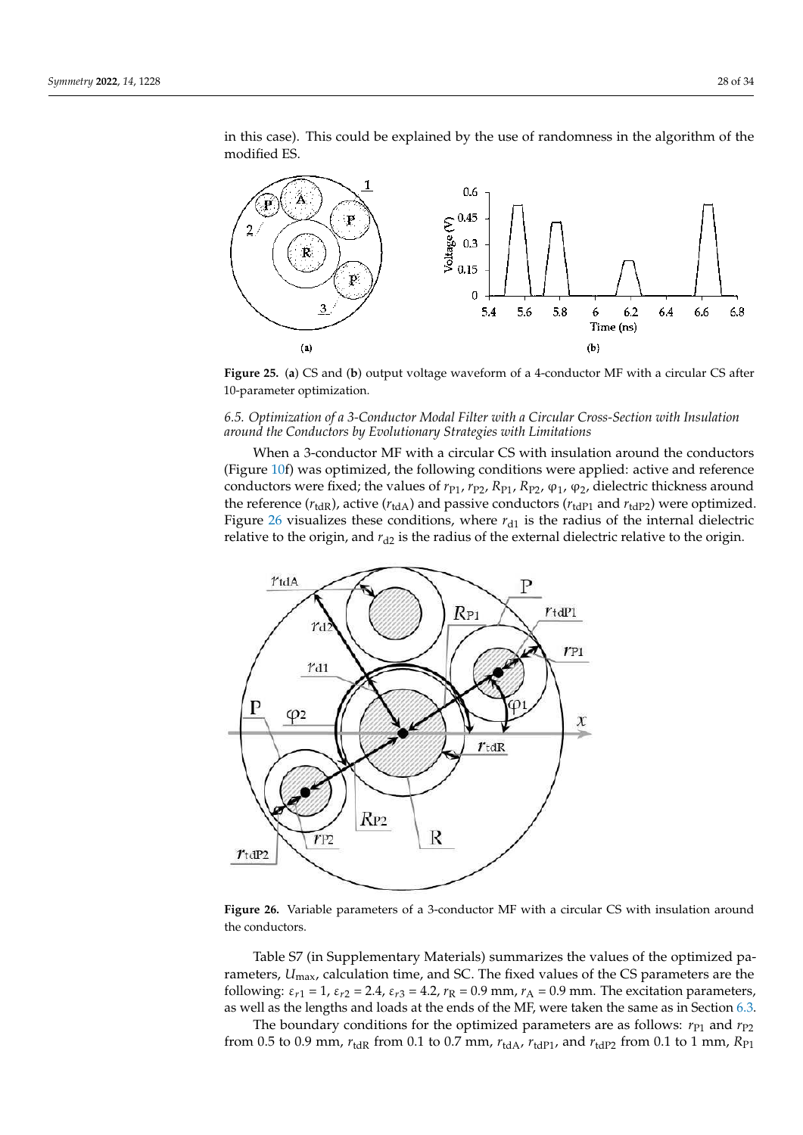in this case). This could be explained by the use of randomness in the algorithm of the modified ES.

<span id="page-27-0"></span>

 **Figure 25.** (**a**) CS and (**b**) output voltage waveform of a 4-conductor MF with a circular CS after 10-parameter optimization.

# *6.5. Optimization of a 3-Conductor Modal Filter with a Circular Cross-Section with Insulation around the Conductors by Evolutionary Strategies with Limitations*

When a 3-conductor MF with a circular CS with insulation around the conductors (Figure [10f](#page-13-0)) was optimized, the following conditions were applied: active and reference conductors were fixed; the values of  $r_{P1}$ ,  $r_{P2}$ ,  $R_{P1}$ ,  $R_{P2}$ ,  $\varphi_1$ ,  $\varphi_2$ , dielectric thickness around the reference  $(r_{\text{tdR}})$ , active  $(r_{\text{tdA}})$  and passive conductors  $(r_{\text{tdP1}}$  and  $r_{\text{tdP2}})$  were optimized. Figure [26](#page-27-1) visualizes these conditions, where  $r_{d1}$  is the radius of the internal dielectric relative to the origin, and  $r_{d2}$  is the radius of the external dielectric relative to the origin.

<span id="page-27-1"></span>

Figure 26. Variable parameters of a 3-conductor MF with a circular CS with insulation around conductors. the conductors.

Table S7 (in Supplementary Materials) summarizes the values of the optimized Table S7 (in Supplementary Materials) summarizes the values of the optimized parameters, *U*<sub>max</sub>, calculation time, and SC. The fixed values of the CS parameters are the following:  $\varepsilon_{r1} = 1$ ,  $\varepsilon_{r2} = 2.4$ ,  $\varepsilon_{r3} = 4.2$ ,  $r_R = 0.9$  mm,  $r_A = 0.9$  mm. The excitation parameters, well as the lengths and loads at the ends of the MF, were taken the same as in Section 6.3. as well as the lengths and loads at the ends of the MF, were taken the same as in Section [6.3.](#page-25-1)

The boundary conditions for the optimized parameters are as follows:  $r_{P1}$  and  $r_{P2}$ from 0.5 to 0.9 mm,  $r_{\text{tdR}}$  from 0.1 to 0.7 mm,  $r_{\text{tdA}}$ ,  $r_{\text{tdP1}}$ , and  $r_{\text{tdP2}}$  from 0.1 to 1 mm,  $R_{\text{P1}}$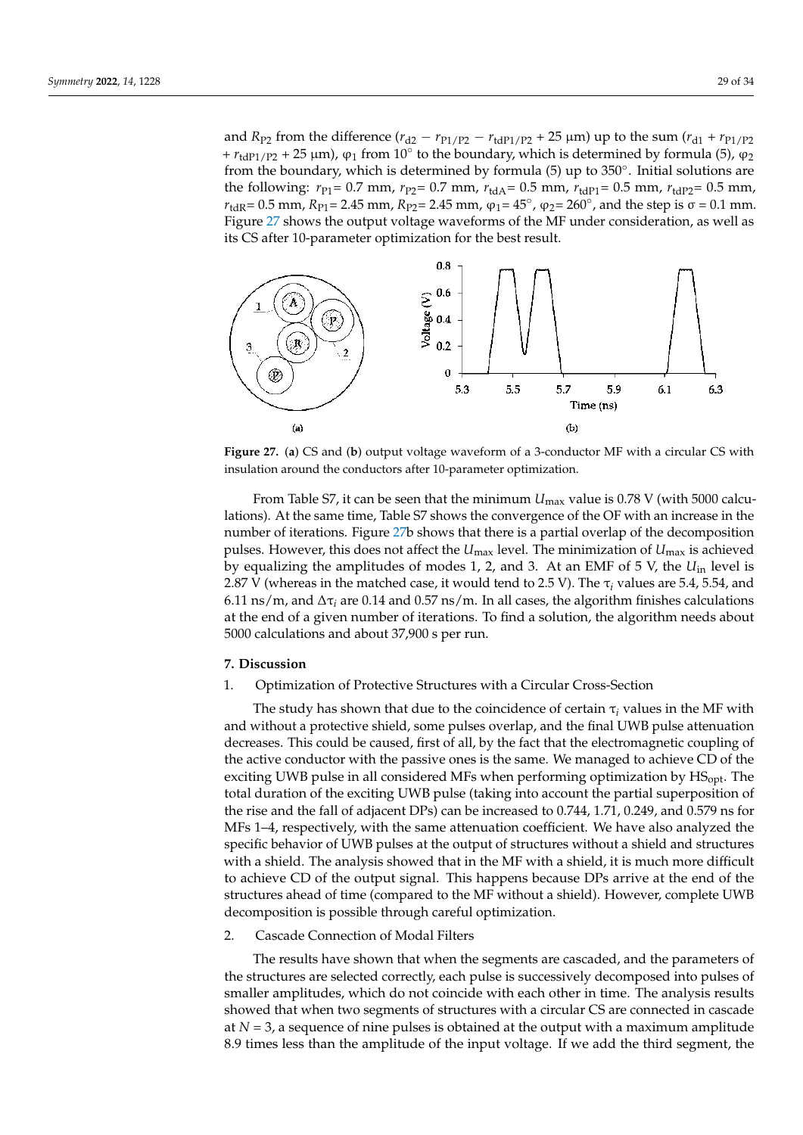and *R*<sub>P2</sub> from the difference ( $r_{d2} - r_{P1/P2} - r_{tdP1/P2} + 25 \mu m$ ) up to the sum ( $r_{d1} + r_{P1/P2}$ +  $r_{tdP1/P2}$  + 25  $\mu$ m),  $\varphi_1$  from 10 $^{\circ}$  to the boundary, which is determined by formula (5),  $\varphi_2$ from the boundary, which is determined by formula (5) up to 350°. Initial solutions are the following:  $r_{P1} = 0.7$  mm,  $r_{P2} = 0.7$  mm,  $r_{tdA} = 0.5$  mm,  $r_{tdP1} = 0.5$  mm,  $r_{tdP2} = 0.5$  mm,  $r_{\text{tdR}} = 0.5$  mm,  $R_{\text{Pl}} = 2.45$  mm,  $R_{\text{Pl}} = 2.45$  mm,  $\varphi_1 = 45^\circ$ ,  $\varphi_2 = 260^\circ$ , and the step is  $\sigma = 0.1$  mm. Figure [27](#page-28-1) shows the output voltage waveforms of the MF under consideration, as well as its CS after 10-parameter optimization for the best result.

<span id="page-28-1"></span>

**Figure 27.** (**a**) CS and (**b**) output voltage waveform of a 3-conductor MF with a circular CS with insulation around the conductors after 10-parameter optimization.

From Table S7, it can be seen that the minimum *U*max value is 0.78 V (with 5000 calculations). At the same time, Table S7 shows the convergence of the OF with an increase in the number of iterations. Figure [27b](#page-28-1) shows that there is a partial overlap of the decomposition pulses. However, this does not affect the *U*max level. The minimization of *U*max is achieved by equalizing the amplitudes of modes 1, 2, and 3. At an EMF of 5 V, the *U*in level is 2.87 V (whereas in the matched case, it would tend to 2.5 V). The τ*<sup>i</sup>* values are 5.4, 5.54, and 6.11 ns/m, and ∆τ*<sup>i</sup>* are 0.14 and 0.57 ns/m. In all cases, the algorithm finishes calculations at the end of a given number of iterations. To find a solution, the algorithm needs about 5000 calculations and about 37,900 s per run.

#### <span id="page-28-0"></span>**7. Discussion**

## 1. Optimization of Protective Structures with a Circular Cross-Section

The study has shown that due to the coincidence of certain  $\tau_i$  values in the MF with and without a protective shield, some pulses overlap, and the final UWB pulse attenuation decreases. This could be caused, first of all, by the fact that the electromagnetic coupling of the active conductor with the passive ones is the same. We managed to achieve CD of the exciting UWB pulse in all considered MFs when performing optimization by  $HS<sub>opt</sub>$ . The total duration of the exciting UWB pulse (taking into account the partial superposition of the rise and the fall of adjacent DPs) can be increased to 0.744, 1.71, 0.249, and 0.579 ns for MFs 1–4, respectively, with the same attenuation coefficient. We have also analyzed the specific behavior of UWB pulses at the output of structures without a shield and structures with a shield. The analysis showed that in the MF with a shield, it is much more difficult to achieve CD of the output signal. This happens because DPs arrive at the end of the structures ahead of time (compared to the MF without a shield). However, complete UWB decomposition is possible through careful optimization.

#### 2. Cascade Connection of Modal Filters

The results have shown that when the segments are cascaded, and the parameters of the structures are selected correctly, each pulse is successively decomposed into pulses of smaller amplitudes, which do not coincide with each other in time. The analysis results showed that when two segments of structures with a circular CS are connected in cascade at *N* = 3, a sequence of nine pulses is obtained at the output with a maximum amplitude 8.9 times less than the amplitude of the input voltage. If we add the third segment, the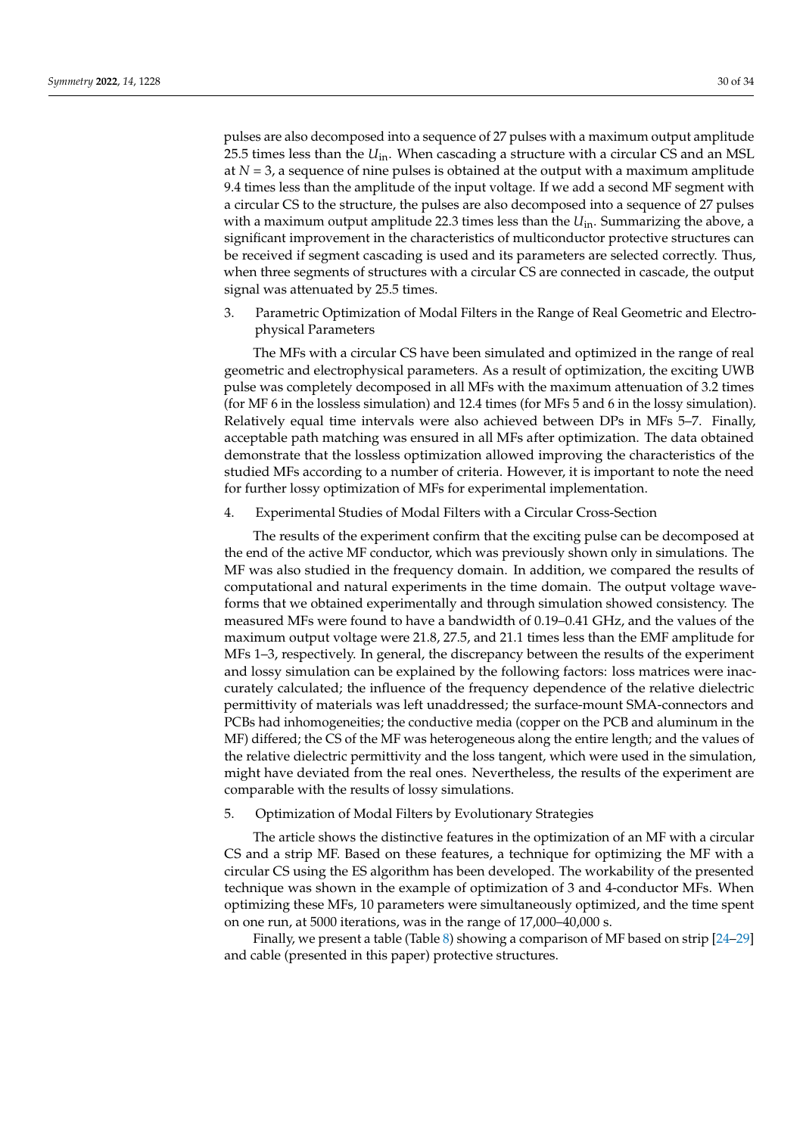pulses are also decomposed into a sequence of 27 pulses with a maximum output amplitude 25.5 times less than the *U*in. When cascading a structure with a circular CS and an MSL at  $N = 3$ , a sequence of nine pulses is obtained at the output with a maximum amplitude 9.4 times less than the amplitude of the input voltage. If we add a second MF segment with a circular CS to the structure, the pulses are also decomposed into a sequence of 27 pulses with a maximum output amplitude 22.3 times less than the *U*in. Summarizing the above, a significant improvement in the characteristics of multiconductor protective structures can be received if segment cascading is used and its parameters are selected correctly. Thus, when three segments of structures with a circular CS are connected in cascade, the output signal was attenuated by 25.5 times.

3. Parametric Optimization of Modal Filters in the Range of Real Geometric and Electrophysical Parameters

The MFs with a circular CS have been simulated and optimized in the range of real geometric and electrophysical parameters. As a result of optimization, the exciting UWB pulse was completely decomposed in all MFs with the maximum attenuation of 3.2 times (for MF 6 in the lossless simulation) and 12.4 times (for MFs 5 and 6 in the lossy simulation). Relatively equal time intervals were also achieved between DPs in MFs 5–7. Finally, acceptable path matching was ensured in all MFs after optimization. The data obtained demonstrate that the lossless optimization allowed improving the characteristics of the studied MFs according to a number of criteria. However, it is important to note the need for further lossy optimization of MFs for experimental implementation.

4. Experimental Studies of Modal Filters with a Circular Cross-Section

The results of the experiment confirm that the exciting pulse can be decomposed at the end of the active MF conductor, which was previously shown only in simulations. The MF was also studied in the frequency domain. In addition, we compared the results of computational and natural experiments in the time domain. The output voltage waveforms that we obtained experimentally and through simulation showed consistency. The measured MFs were found to have a bandwidth of 0.19–0.41 GHz, and the values of the maximum output voltage were 21.8, 27.5, and 21.1 times less than the EMF amplitude for MFs 1–3, respectively. In general, the discrepancy between the results of the experiment and lossy simulation can be explained by the following factors: loss matrices were inaccurately calculated; the influence of the frequency dependence of the relative dielectric permittivity of materials was left unaddressed; the surface-mount SMA-connectors and PCBs had inhomogeneities; the conductive media (copper on the PCB and aluminum in the MF) differed; the CS of the MF was heterogeneous along the entire length; and the values of the relative dielectric permittivity and the loss tangent, which were used in the simulation, might have deviated from the real ones. Nevertheless, the results of the experiment are comparable with the results of lossy simulations.

5. Optimization of Modal Filters by Evolutionary Strategies

The article shows the distinctive features in the optimization of an MF with a circular CS and a strip MF. Based on these features, a technique for optimizing the MF with a circular CS using the ES algorithm has been developed. The workability of the presented technique was shown in the example of optimization of 3 and 4-conductor MFs. When optimizing these MFs, 10 parameters were simultaneously optimized, and the time spent on one run, at 5000 iterations, was in the range of 17,000–40,000 s.

Finally, we present a table (Table [8\)](#page-30-1) showing a comparison of MF based on strip  $[24-29]$  $[24-29]$ and cable (presented in this paper) protective structures.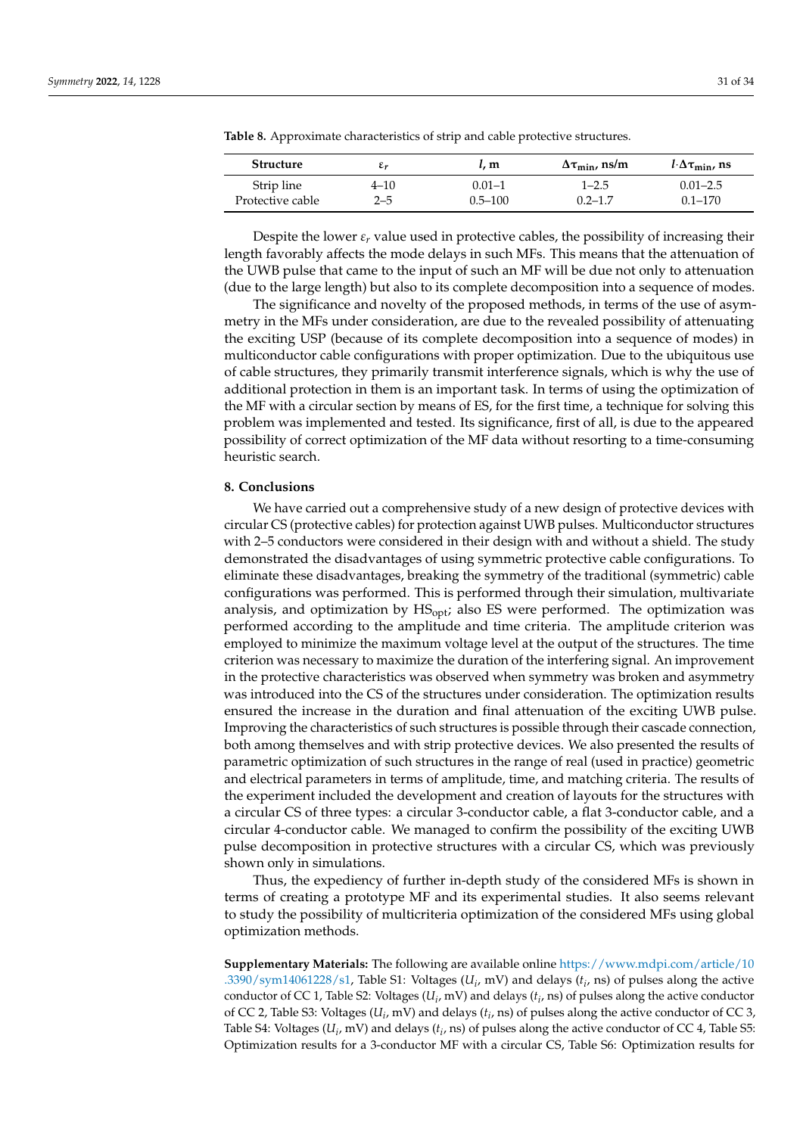| <b>Structure</b> | ٤r       | t. m        | $\Delta \tau_{\min}$ , ns/m | $l\cdot\Delta\tau_{\min}$ , ns |
|------------------|----------|-------------|-----------------------------|--------------------------------|
| Strip line       | $4 - 10$ | $0.01 - 1$  | $1 - 2.5$                   | $0.01 - 2.5$                   |
| Protective cable | 2–5      | $0.5 - 100$ | $0.2 - 1.7$                 | $0.1 - 170$                    |

<span id="page-30-1"></span>**Table 8.** Approximate characteristics of strip and cable protective structures.

Despite the lower  $\varepsilon_r$  value used in protective cables, the possibility of increasing their length favorably affects the mode delays in such MFs. This means that the attenuation of the UWB pulse that came to the input of such an MF will be due not only to attenuation (due to the large length) but also to its complete decomposition into a sequence of modes.

The significance and novelty of the proposed methods, in terms of the use of asymmetry in the MFs under consideration, are due to the revealed possibility of attenuating the exciting USP (because of its complete decomposition into a sequence of modes) in multiconductor cable configurations with proper optimization. Due to the ubiquitous use of cable structures, they primarily transmit interference signals, which is why the use of additional protection in them is an important task. In terms of using the optimization of the MF with a circular section by means of ES, for the first time, a technique for solving this problem was implemented and tested. Its significance, first of all, is due to the appeared possibility of correct optimization of the MF data without resorting to a time-consuming heuristic search.

#### <span id="page-30-0"></span>**8. Conclusions**

We have carried out a comprehensive study of a new design of protective devices with circular CS (protective cables) for protection against UWB pulses. Multiconductor structures with 2–5 conductors were considered in their design with and without a shield. The study demonstrated the disadvantages of using symmetric protective cable configurations. To eliminate these disadvantages, breaking the symmetry of the traditional (symmetric) cable configurations was performed. This is performed through their simulation, multivariate analysis, and optimization by  $\text{HS}_{\text{opt}}$ ; also ES were performed. The optimization was performed according to the amplitude and time criteria. The amplitude criterion was employed to minimize the maximum voltage level at the output of the structures. The time criterion was necessary to maximize the duration of the interfering signal. An improvement in the protective characteristics was observed when symmetry was broken and asymmetry was introduced into the CS of the structures under consideration. The optimization results ensured the increase in the duration and final attenuation of the exciting UWB pulse. Improving the characteristics of such structures is possible through their cascade connection, both among themselves and with strip protective devices. We also presented the results of parametric optimization of such structures in the range of real (used in practice) geometric and electrical parameters in terms of amplitude, time, and matching criteria. The results of the experiment included the development and creation of layouts for the structures with a circular CS of three types: a circular 3-conductor cable, a flat 3-conductor cable, and a circular 4-conductor cable. We managed to confirm the possibility of the exciting UWB pulse decomposition in protective structures with a circular CS, which was previously shown only in simulations.

Thus, the expediency of further in-depth study of the considered MFs is shown in terms of creating a prototype MF and its experimental studies. It also seems relevant to study the possibility of multicriteria optimization of the considered MFs using global optimization methods.

**Supplementary Materials:** The following are available online [https://www.mdpi.com/article/10](https://www.mdpi.com/article/10.3390/sym14061228/s1) [.3390/sym14061228/s1,](https://www.mdpi.com/article/10.3390/sym14061228/s1) Table S1: Voltages ( $U_i$ , mV) and delays ( $t_i$ , ns) of pulses along the active conductor of CC 1, Table S2: Voltages ( $U_i$ , mV) and delays ( $t_i$ , ns) of pulses along the active conductor of CC 2, Table S3: Voltages (*U<sup>i</sup>* , mV) and delays (*t<sup>i</sup>* , ns) of pulses along the active conductor of CC 3, Table S4: Voltages ( $U_i$ , mV) and delays ( $t_i$ , ns) of pulses along the active conductor of CC 4, Table S5: Optimization results for a 3-conductor MF with a circular CS, Table S6: Optimization results for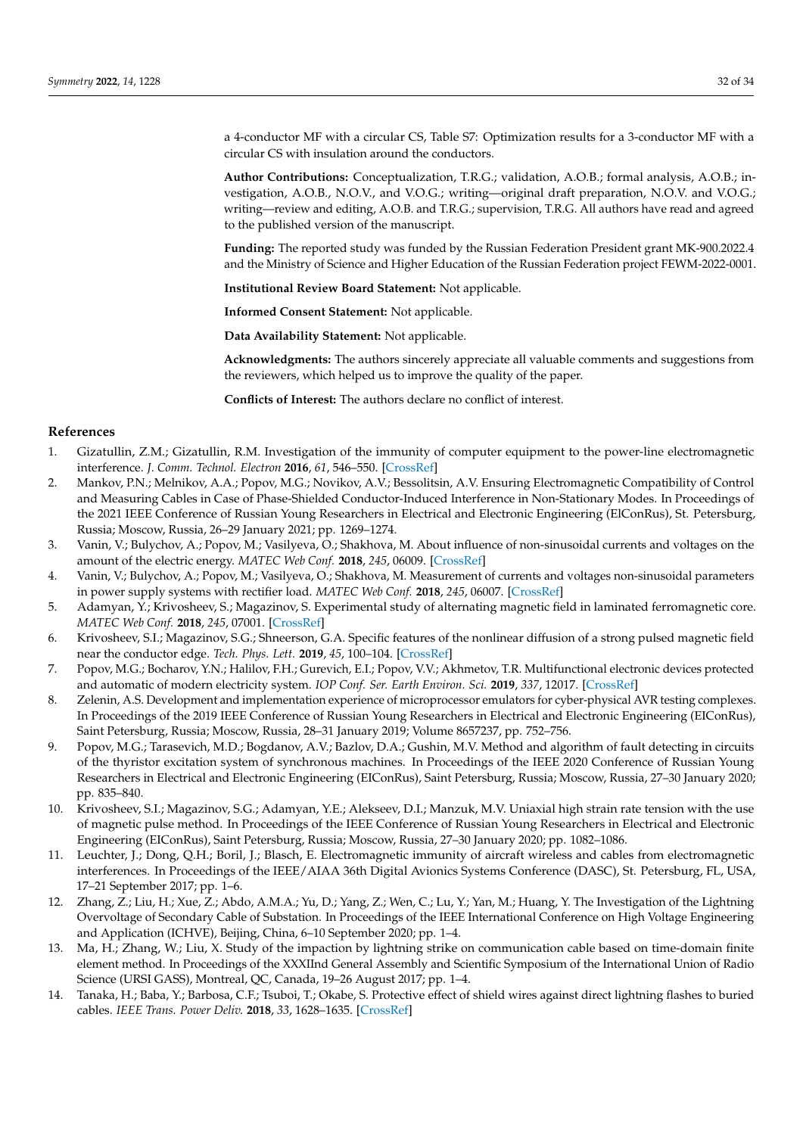a 4-conductor MF with a circular CS, Table S7: Optimization results for a 3-conductor MF with a circular CS with insulation around the conductors.

**Author Contributions:** Conceptualization, T.R.G.; validation, A.O.B.; formal analysis, A.O.B.; investigation, A.O.B., N.O.V., and V.O.G.; writing—original draft preparation, N.O.V. and V.O.G.; writing—review and editing, A.O.B. and T.R.G.; supervision, T.R.G. All authors have read and agreed to the published version of the manuscript.

**Funding:** The reported study was funded by the Russian Federation President grant MK-900.2022.4 and the Ministry of Science and Higher Education of the Russian Federation project FEWM-2022-0001.

**Institutional Review Board Statement:** Not applicable.

**Informed Consent Statement:** Not applicable.

**Data Availability Statement:** Not applicable.

**Acknowledgments:** The authors sincerely appreciate all valuable comments and suggestions from the reviewers, which helped us to improve the quality of the paper.

**Conflicts of Interest:** The authors declare no conflict of interest.

## **References**

- <span id="page-31-0"></span>1. Gizatullin, Z.M.; Gizatullin, R.M. Investigation of the immunity of computer equipment to the power-line electromagnetic interference. *J. Comm. Technol. Electron* **2016**, *61*, 546–550. [\[CrossRef\]](http://doi.org/10.1134/S1064226916050053)
- 2. Mankov, P.N.; Melnikov, A.A.; Popov, M.G.; Novikov, A.V.; Bessolitsin, A.V. Ensuring Electromagnetic Compatibility of Control and Measuring Cables in Case of Phase-Shielded Conductor-Induced Interference in Non-Stationary Modes. In Proceedings of the 2021 IEEE Conference of Russian Young Researchers in Electrical and Electronic Engineering (ElConRus), St. Petersburg, Russia; Moscow, Russia, 26–29 January 2021; pp. 1269–1274.
- 3. Vanin, V.; Bulychov, A.; Popov, M.; Vasilyeva, O.; Shakhova, M. About influence of non-sinusoidal currents and voltages on the amount of the electric energy. *MATEC Web Conf.* **2018**, *245*, 06009. [\[CrossRef\]](http://doi.org/10.1051/matecconf/201824506009)
- 4. Vanin, V.; Bulychov, A.; Popov, M.; Vasilyeva, O.; Shakhova, M. Measurement of currents and voltages non-sinusoidal parameters in power supply systems with rectifier load. *MATEC Web Conf.* **2018**, *245*, 06007. [\[CrossRef\]](http://doi.org/10.1051/matecconf/201824506007)
- 5. Adamyan, Y.; Krivosheev, S.; Magazinov, S. Experimental study of alternating magnetic field in laminated ferromagnetic core. *MATEC Web Conf.* **2018**, *245*, 07001. [\[CrossRef\]](http://doi.org/10.1051/matecconf/201824507001)
- 6. Krivosheev, S.I.; Magazinov, S.G.; Shneerson, G.A. Specific features of the nonlinear diffusion of a strong pulsed magnetic field near the conductor edge. *Tech. Phys. Lett.* **2019**, *45*, 100–104. [\[CrossRef\]](http://doi.org/10.1134/S1063785019020093)
- 7. Popov, M.G.; Bocharov, Y.N.; Halilov, F.H.; Gurevich, E.I.; Popov, V.V.; Akhmetov, T.R. Multifunctional electronic devices protected and automatic of modern electricity system. *IOP Conf. Ser. Earth Environ. Sci.* **2019**, *337*, 12017. [\[CrossRef\]](http://doi.org/10.1088/1755-1315/367/1/012017)
- 8. Zelenin, A.S. Development and implementation experience of microprocessor emulators for cyber-physical AVR testing complexes. In Proceedings of the 2019 IEEE Conference of Russian Young Researchers in Electrical and Electronic Engineering (EIConRus), Saint Petersburg, Russia; Moscow, Russia, 28–31 January 2019; Volume 8657237, pp. 752–756.
- 9. Popov, M.G.; Tarasevich, M.D.; Bogdanov, A.V.; Bazlov, D.A.; Gushin, M.V. Method and algorithm of fault detecting in circuits of the thyristor excitation system of synchronous machines. In Proceedings of the IEEE 2020 Conference of Russian Young Researchers in Electrical and Electronic Engineering (EIConRus), Saint Petersburg, Russia; Moscow, Russia, 27–30 January 2020; pp. 835–840.
- <span id="page-31-1"></span>10. Krivosheev, S.I.; Magazinov, S.G.; Adamyan, Y.E.; Alekseev, D.I.; Manzuk, M.V. Uniaxial high strain rate tension with the use of magnetic pulse method. In Proceedings of the IEEE Conference of Russian Young Researchers in Electrical and Electronic Engineering (EIConRus), Saint Petersburg, Russia; Moscow, Russia, 27–30 January 2020; pp. 1082–1086.
- <span id="page-31-2"></span>11. Leuchter, J.; Dong, Q.H.; Boril, J.; Blasch, E. Electromagnetic immunity of aircraft wireless and cables from electromagnetic interferences. In Proceedings of the IEEE/AIAA 36th Digital Avionics Systems Conference (DASC), St. Petersburg, FL, USA, 17–21 September 2017; pp. 1–6.
- <span id="page-31-3"></span>12. Zhang, Z.; Liu, H.; Xue, Z.; Abdo, A.M.A.; Yu, D.; Yang, Z.; Wen, C.; Lu, Y.; Yan, M.; Huang, Y. The Investigation of the Lightning Overvoltage of Secondary Cable of Substation. In Proceedings of the IEEE International Conference on High Voltage Engineering and Application (ICHVE), Beijing, China, 6–10 September 2020; pp. 1–4.
- 13. Ma, H.; Zhang, W.; Liu, X. Study of the impaction by lightning strike on communication cable based on time-domain finite element method. In Proceedings of the XXXIInd General Assembly and Scientific Symposium of the International Union of Radio Science (URSI GASS), Montreal, QC, Canada, 19–26 August 2017; pp. 1–4.
- <span id="page-31-4"></span>14. Tanaka, H.; Baba, Y.; Barbosa, C.F.; Tsuboi, T.; Okabe, S. Protective effect of shield wires against direct lightning flashes to buried cables. *IEEE Trans. Power Deliv.* **2018**, *33*, 1628–1635. [\[CrossRef\]](http://doi.org/10.1109/TPWRD.2017.2746100)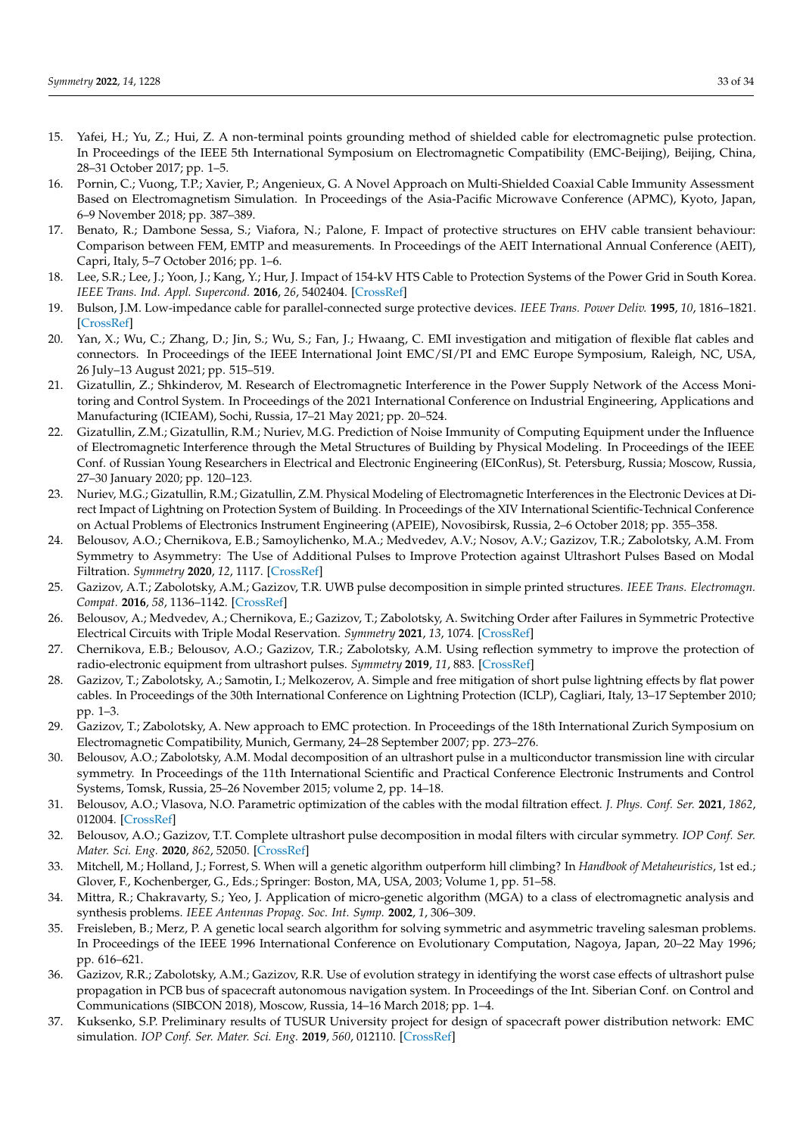- <span id="page-32-0"></span>15. Yafei, H.; Yu, Z.; Hui, Z. A non-terminal points grounding method of shielded cable for electromagnetic pulse protection. In Proceedings of the IEEE 5th International Symposium on Electromagnetic Compatibility (EMC-Beijing), Beijing, China, 28–31 October 2017; pp. 1–5.
- <span id="page-32-1"></span>16. Pornin, C.; Vuong, T.P.; Xavier, P.; Angenieux, G. A Novel Approach on Multi-Shielded Coaxial Cable Immunity Assessment Based on Electromagnetism Simulation. In Proceedings of the Asia-Pacific Microwave Conference (APMC), Kyoto, Japan, 6–9 November 2018; pp. 387–389.
- <span id="page-32-2"></span>17. Benato, R.; Dambone Sessa, S.; Viafora, N.; Palone, F. Impact of protective structures on EHV cable transient behaviour: Comparison between FEM, EMTP and measurements. In Proceedings of the AEIT International Annual Conference (AEIT), Capri, Italy, 5–7 October 2016; pp. 1–6.
- <span id="page-32-3"></span>18. Lee, S.R.; Lee, J.; Yoon, J.; Kang, Y.; Hur, J. Impact of 154-kV HTS Cable to Protection Systems of the Power Grid in South Korea. *IEEE Trans. Ind. Appl. Supercond.* **2016**, *26*, 5402404. [\[CrossRef\]](http://doi.org/10.1109/TASC.2016.2535967)
- <span id="page-32-4"></span>19. Bulson, J.M. Low-impedance cable for parallel-connected surge protective devices. *IEEE Trans. Power Deliv.* **1995**, *10*, 1816–1821. [\[CrossRef\]](http://doi.org/10.1109/61.473375)
- <span id="page-32-5"></span>20. Yan, X.; Wu, C.; Zhang, D.; Jin, S.; Wu, S.; Fan, J.; Hwaang, C. EMI investigation and mitigation of flexible flat cables and connectors. In Proceedings of the IEEE International Joint EMC/SI/PI and EMC Europe Symposium, Raleigh, NC, USA, 26 July–13 August 2021; pp. 515–519.
- <span id="page-32-6"></span>21. Gizatullin, Z.; Shkinderov, M. Research of Electromagnetic Interference in the Power Supply Network of the Access Monitoring and Control System. In Proceedings of the 2021 International Conference on Industrial Engineering, Applications and Manufacturing (ICIEAM), Sochi, Russia, 17–21 May 2021; pp. 20–524.
- <span id="page-32-7"></span>22. Gizatullin, Z.M.; Gizatullin, R.M.; Nuriev, M.G. Prediction of Noise Immunity of Computing Equipment under the Influence of Electromagnetic Interference through the Metal Structures of Building by Physical Modeling. In Proceedings of the IEEE Conf. of Russian Young Researchers in Electrical and Electronic Engineering (EIConRus), St. Petersburg, Russia; Moscow, Russia, 27–30 January 2020; pp. 120–123.
- <span id="page-32-8"></span>23. Nuriev, M.G.; Gizatullin, R.M.; Gizatullin, Z.M. Physical Modeling of Electromagnetic Interferences in the Electronic Devices at Direct Impact of Lightning on Protection System of Building. In Proceedings of the XIV International Scientific-Technical Conference on Actual Problems of Electronics Instrument Engineering (APEIE), Novosibirsk, Russia, 2–6 October 2018; pp. 355–358.
- <span id="page-32-9"></span>24. Belousov, A.O.; Chernikova, E.B.; Samoylichenko, M.A.; Medvedev, A.V.; Nosov, A.V.; Gazizov, T.R.; Zabolotsky, A.M. From Symmetry to Asymmetry: The Use of Additional Pulses to Improve Protection against Ultrashort Pulses Based on Modal Filtration. *Symmetry* **2020**, *12*, 1117. [\[CrossRef\]](http://doi.org/10.3390/sym12071117)
- <span id="page-32-11"></span>25. Gazizov, A.T.; Zabolotsky, A.M.; Gazizov, T.R. UWB pulse decomposition in simple printed structures. *IEEE Trans. Electromagn. Compat.* **2016**, *58*, 1136–1142. [\[CrossRef\]](http://doi.org/10.1109/TEMC.2016.2548783)
- 26. Belousov, A.; Medvedev, A.; Chernikova, E.; Gazizov, T.; Zabolotsky, A. Switching Order after Failures in Symmetric Protective Electrical Circuits with Triple Modal Reservation. *Symmetry* **2021**, *13*, 1074. [\[CrossRef\]](http://doi.org/10.3390/sym13061074)
- 27. Chernikova, E.B.; Belousov, A.O.; Gazizov, T.R.; Zabolotsky, A.M. Using reflection symmetry to improve the protection of radio-electronic equipment from ultrashort pulses. *Symmetry* **2019**, *11*, 883. [\[CrossRef\]](http://doi.org/10.3390/sym11070883)
- 28. Gazizov, T.; Zabolotsky, A.; Samotin, I.; Melkozerov, A. Simple and free mitigation of short pulse lightning effects by flat power cables. In Proceedings of the 30th International Conference on Lightning Protection (ICLP), Cagliari, Italy, 13–17 September 2010; pp. 1–3.
- <span id="page-32-10"></span>29. Gazizov, T.; Zabolotsky, A. New approach to EMC protection. In Proceedings of the 18th International Zurich Symposium on Electromagnetic Compatibility, Munich, Germany, 24–28 September 2007; pp. 273–276.
- <span id="page-32-12"></span>30. Belousov, A.O.; Zabolotsky, A.M. Modal decomposition of an ultrashort pulse in a multiconductor transmission line with circular symmetry. In Proceedings of the 11th International Scientific and Practical Conference Electronic Instruments and Control Systems, Tomsk, Russia, 25–26 November 2015; volume 2, pp. 14–18.
- <span id="page-32-13"></span>31. Belousov, A.O.; Vlasova, N.O. Parametric optimization of the cables with the modal filtration effect. *J. Phys. Conf. Ser.* **2021**, *1862*, 012004. [\[CrossRef\]](http://doi.org/10.1088/1742-6596/1862/1/012004)
- <span id="page-32-14"></span>32. Belousov, A.O.; Gazizov, T.T. Complete ultrashort pulse decomposition in modal filters with circular symmetry. *IOP Conf. Ser. Mater. Sci. Eng.* **2020**, *862*, 52050. [\[CrossRef\]](http://doi.org/10.1088/1757-899X/862/5/052050)
- <span id="page-32-15"></span>33. Mitchell, M.; Holland, J.; Forrest, S. When will a genetic algorithm outperform hill climbing? In *Handbook of Metaheuristics*, 1st ed.; Glover, F., Kochenberger, G., Eds.; Springer: Boston, MA, USA, 2003; Volume 1, pp. 51–58.
- 34. Mittra, R.; Chakravarty, S.; Yeo, J. Application of micro-genetic algorithm (MGA) to a class of electromagnetic analysis and synthesis problems. *IEEE Antennas Propag. Soc. Int. Symp.* **2002**, *1*, 306–309.
- <span id="page-32-16"></span>35. Freisleben, B.; Merz, P. A genetic local search algorithm for solving symmetric and asymmetric traveling salesman problems. In Proceedings of the IEEE 1996 International Conference on Evolutionary Computation, Nagoya, Japan, 20–22 May 1996; pp. 616–621.
- <span id="page-32-17"></span>36. Gazizov, R.R.; Zabolotsky, A.M.; Gazizov, R.R. Use of evolution strategy in identifying the worst case effects of ultrashort pulse propagation in PCB bus of spacecraft autonomous navigation system. In Proceedings of the Int. Siberian Conf. on Control and Communications (SIBCON 2018), Moscow, Russia, 14–16 March 2018; pp. 1–4.
- <span id="page-32-18"></span>37. Kuksenko, S.P. Preliminary results of TUSUR University project for design of spacecraft power distribution network: EMC simulation. *IOP Conf. Ser. Mater. Sci. Eng.* **2019**, *560*, 012110. [\[CrossRef\]](http://doi.org/10.1088/1757-899X/560/1/012110)